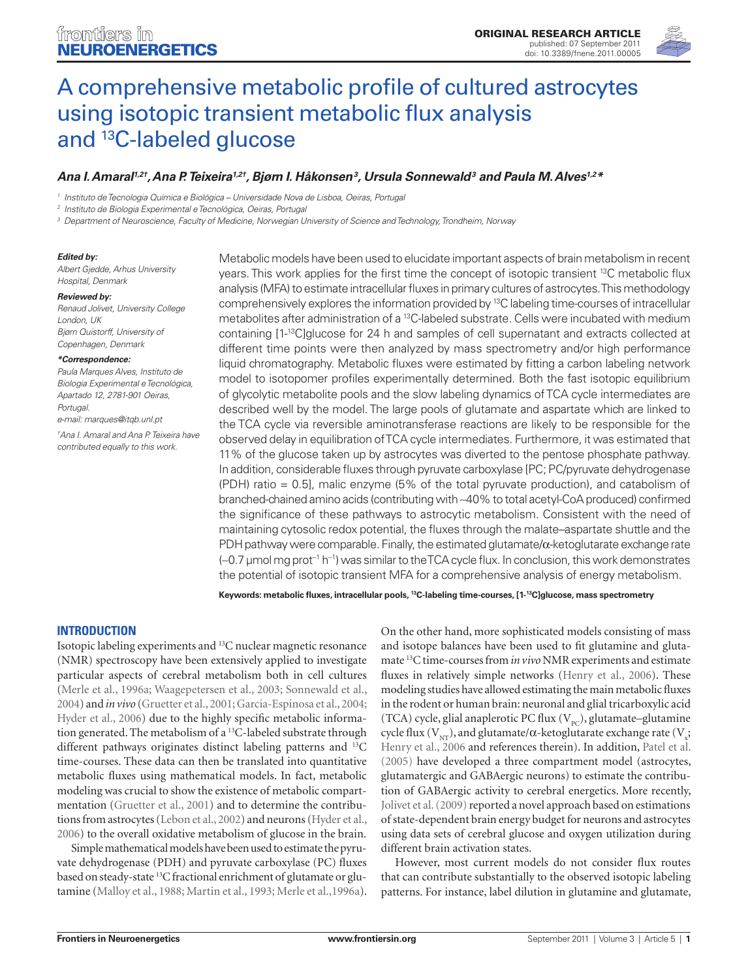

# [A comprehensive metabolic profile of cultured astrocytes](http://www.frontiersin.org/neuroenergetics/10.3389/fnene.2011.00005/abstract)  [using isotopic transient metabolic flux analysis](http://www.frontiersin.org/neuroenergetics/10.3389/fnene.2011.00005/abstract)  [and 13C-labeled glucose](http://www.frontiersin.org/neuroenergetics/10.3389/fnene.2011.00005/abstract)

# *[Ana I. Amaral](http://www.frontiersin.org/people/anaamaral_1/24451)1,2†, Ana P. Teixeira1,2†, [Bjørn I. Håkonsen3](http://www.frontiersin.org/people/bj%c3%b8rn_isakh%c3%a5konsen/38396) , [Ursula Sonnewald3](http://www.frontiersin.org/people/ursulasonnewald/3991) and [Paula M. Alves1](http://www.frontiersin.org/people/paulaalves/15573),2\**

*<sup>1</sup> Instituto de Tecnologia Química e Biológica – Universidade Nova de Lisboa, Oeiras, Portugal*

*<sup>2</sup> Instituto de Biologia Experimental e Tecnológica, Oeiras, Portugal*

*<sup>3</sup> Department of Neuroscience, Faculty of Medicine, Norwegian University of Science and Technology, Trondheim, Norway*

#### *Edited by:*

*Albert Gjedde, Arhus University Hospital, Denmark*

#### *Reviewed by:*

*Renaud Jolivet, University College London, UK Bjørn Quistorff, University of Copenhagen, Denmark*

#### *\*Correspondence:*

*Paula Marques Alves, Instituto de Biologia Experimental e Tecnológica, Apartado 12, 2781-901 Oeiras, Portugal.* 

*e-mail: marques@itqb.unl.pt † Ana I. Amaral and Ana P. Teixeira have contributed equally to this work.*

Metabolic models have been used to elucidate important aspects of brain metabolism in recent years. This work applies for the first time the concept of isotopic transient 13C metabolic flux analysis (MFA) to estimate intracellular fluxes in primary cultures of astrocytes. This methodology comprehensively explores the information provided by 13C labeling time-courses of intracellular metabolites after administration of a <sup>13</sup>C-labeled substrate. Cells were incubated with medium containing [1-13C]glucose for 24 h and samples of cell supernatant and extracts collected at different time points were then analyzed by mass spectrometry and/or high performance liquid chromatography. Metabolic fluxes were estimated by fitting a carbon labeling network model to isotopomer profiles experimentally determined. Both the fast isotopic equilibrium of glycolytic metabolite pools and the slow labeling dynamics of TCA cycle intermediates are described well by the model. The large pools of glutamate and aspartate which are linked to the TCA cycle via reversible aminotransferase reactions are likely to be responsible for the observed delay in equilibration of TCA cycle intermediates. Furthermore, it was estimated that 11% of the glucose taken up by astrocytes was diverted to the pentose phosphate pathway. In addition, considerable fluxes through pyruvate carboxylase [PC; PC/pyruvate dehydrogenase (PDH) ratio = 0.5], malic enzyme (5% of the total pyruvate production), and catabolism of branched-chained amino acids (contributing with ∼40% to total acetyl-CoA produced) confirmed the significance of these pathways to astrocytic metabolism. Consistent with the need of maintaining cytosolic redox potential, the fluxes through the malate–aspartate shuttle and the PDH pathway were comparable. Finally, the estimated glutamate/α-ketoglutarate exchange rate (∼0.7 μmol mg prot−<sup>1</sup> h−<sup>1</sup> ) was similar to the TCA cycle flux. In conclusion, this work demonstrates the potential of isotopic transient MFA for a comprehensive analysis of energy metabolism.

**Keywords: metabolic fluxes, intracellular pools, 13C-labeling time-courses, [1-13C]glucose, mass spectrometry**

# **Introduction**

Isotopic labeling experiments and 13C nuclear magnetic resonance (NMR) spectroscopy have been extensively applied to investigate particular aspects of cerebral metabolism both in cell cultures (Merle et al., 1996a; Waagepetersen et al., 2003; Sonnewald et al., 2004) and *in vivo* (Gruetter et al., 2001; Garcia-Espinosa et al., 2004; Hyder et al., 2006) due to the highly specific metabolic information generated. The metabolism of a <sup>13</sup>C-labeled substrate through different pathways originates distinct labeling patterns and <sup>13</sup>C time-courses. These data can then be translated into quantitative metabolic fluxes using mathematical models. In fact, metabolic modeling was crucial to show the existence of metabolic compartmentation (Gruetter et al., 2001) and to determine the contributions from astrocytes (Lebon et al., 2002) and neurons (Hyder et al., 2006) to the overall oxidative metabolism of glucose in the brain.

Simple mathematical models have been used to estimate the pyruvate dehydrogenase (PDH) and pyruvate carboxylase (PC) fluxes based on steady-state 13C fractional enrichment of glutamate or glutamine (Malloy et al., 1988; Martin et al., 1993; Merle et al.,1996a).

On the other hand, more sophisticated models consisting of mass and isotope balances have been used to fit glutamine and glutamate 13C time-courses from *in vivo* NMR experiments and estimate fluxes in relatively simple networks (Henry et al., 2006). These modeling studies have allowed estimating the main metabolic fluxes in the rodent or human brain: neuronal and glial tricarboxylic acid (TCA) cycle, glial anaplerotic PC flux  $(V_{pc})$ , glutamate–glutamine cycle flux (V<sub>NT</sub>), and glutamate/α-ketoglutarate exchange rate (V<sub>x</sub>; Henry et al., 2006 and references therein). In addition, Patel et al. (2005) have developed a three compartment model (astrocytes, glutamatergic and GABAergic neurons) to estimate the contribution of GABAergic activity to cerebral energetics. More recently, Jolivet et al. (2009) reported a novel approach based on estimations of state-dependent brain energy budget for neurons and astrocytes using data sets of cerebral glucose and oxygen utilization during different brain activation states.

However, most current models do not consider flux routes that can contribute substantially to the observed isotopic labeling patterns. For instance, label dilution in glutamine and glutamate,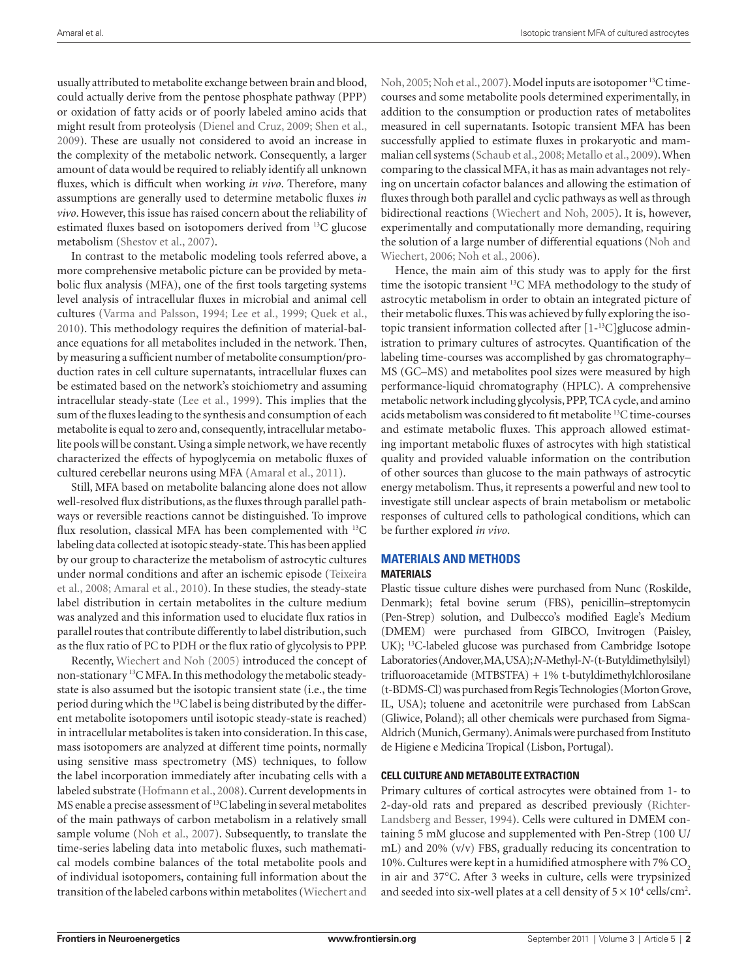usually attributed to metabolite exchange between brain and blood, could actually derive from the pentose phosphate pathway (PPP) or oxidation of fatty acids or of poorly labeled amino acids that might result from proteolysis (Dienel and Cruz, 2009; Shen et al., 2009). These are usually not considered to avoid an increase in the complexity of the metabolic network. Consequently, a larger amount of data would be required to reliably identify all unknown fluxes, which is difficult when working *in vivo*. Therefore, many assumptions are generally used to determine metabolic fluxes *in vivo*. However, this issue has raised concern about the reliability of estimated fluxes based on isotopomers derived from 13C glucose metabolism (Shestov et al., 2007).

In contrast to the metabolic modeling tools referred above, a more comprehensive metabolic picture can be provided by metabolic flux analysis (MFA), one of the first tools targeting systems level analysis of intracellular fluxes in microbial and animal cell cultures (Varma and Palsson, 1994; Lee et al., 1999; Quek et al., 2010). This methodology requires the definition of material-balance equations for all metabolites included in the network. Then, by measuring a sufficient number of metabolite consumption/production rates in cell culture supernatants, intracellular fluxes can be estimated based on the network's stoichiometry and assuming intracellular steady-state (Lee et al., 1999). This implies that the sum of the fluxes leading to the synthesis and consumption of each metabolite is equal to zero and, consequently, intracellular metabolite pools will be constant. Using a simple network, we have recently characterized the effects of hypoglycemia on metabolic fluxes of cultured cerebellar neurons using MFA (Amaral et al., 2011).

Still, MFA based on metabolite balancing alone does not allow well-resolved flux distributions, as the fluxes through parallel pathways or reversible reactions cannot be distinguished. To improve flux resolution, classical MFA has been complemented with <sup>13</sup>C labeling data collected at isotopic steady-state. This has been applied by our group to characterize the metabolism of astrocytic cultures under normal conditions and after an ischemic episode (Teixeira et al., 2008; Amaral et al., 2010). In these studies, the steady-state label distribution in certain metabolites in the culture medium was analyzed and this information used to elucidate flux ratios in parallel routes that contribute differently to label distribution, such as the flux ratio of PC to PDH or the flux ratio of glycolysis to PPP.

Recently, Wiechert and Noh (2005) introduced the concept of non-stationary 13C MFA. In this methodology the metabolic steadystate is also assumed but the isotopic transient state (i.e., the time period during which the <sup>13</sup>C label is being distributed by the different metabolite isotopomers until isotopic steady-state is reached) in intracellular metabolites is taken into consideration. In this case, mass isotopomers are analyzed at different time points, normally using sensitive mass spectrometry (MS) techniques, to follow the label incorporation immediately after incubating cells with a labeled substrate (Hofmann et al., 2008). Current developments in MS enable a precise assessment of <sup>13</sup>C labeling in several metabolites of the main pathways of carbon metabolism in a relatively small sample volume (Noh et al., 2007). Subsequently, to translate the time-series labeling data into metabolic fluxes, such mathematical models combine balances of the total metabolite pools and of individual isotopomers, containing full information about the transition of the labeled carbons within metabolites (Wiechert and Noh, 2005; Noh et al., 2007). Model inputs are isotopomer 13C timecourses and some metabolite pools determined experimentally, in addition to the consumption or production rates of metabolites measured in cell supernatants. Isotopic transient MFA has been successfully applied to estimate fluxes in prokaryotic and mammalian cell systems (Schaub et al., 2008; Metallo et al., 2009). When comparing to the classical MFA, it has as main advantages not relying on uncertain cofactor balances and allowing the estimation of fluxes through both parallel and cyclic pathways as well as through bidirectional reactions (Wiechert and Noh, 2005). It is, however, experimentally and computationally more demanding, requiring the solution of a large number of differential equations (Noh and Wiechert, 2006; Noh et al., 2006).

Hence, the main aim of this study was to apply for the first time the isotopic transient 13C MFA methodology to the study of astrocytic metabolism in order to obtain an integrated picture of their metabolic fluxes. This was achieved by fully exploring the isotopic transient information collected after [1-13C]glucose administration to primary cultures of astrocytes. Quantification of the labeling time-courses was accomplished by gas chromatography– MS (GC–MS) and metabolites pool sizes were measured by high performance-liquid chromatography (HPLC). A comprehensive metabolic network including glycolysis, PPP, TCA cycle, and amino acids metabolism was considered to fit metabolite 13C time-courses and estimate metabolic fluxes. This approach allowed estimating important metabolic fluxes of astrocytes with high statistical quality and provided valuable information on the contribution of other sources than glucose to the main pathways of astrocytic energy metabolism. Thus, it represents a powerful and new tool to investigate still unclear aspects of brain metabolism or metabolic responses of cultured cells to pathological conditions, which can be further explored *in vivo*.

# **Materials and Methods**

## **Materials**

Plastic tissue culture dishes were purchased from Nunc (Roskilde, Denmark); fetal bovine serum (FBS), penicillin–streptomycin (Pen-Strep) solution, and Dulbecco's modified Eagle's Medium (DMEM) were purchased from GIBCO, Invitrogen (Paisley, UK); 13C-labeled glucose was purchased from Cambridge Isotope Laboratories (Andover, MA, USA); *N*-Methyl-*N*-(t-Butyldimethylsilyl) trifluoroacetamide (MTBSTFA) + 1% t-butyldimethylchlorosilane (t-BDMS-Cl) was purchased from Regis Technologies (Morton Grove, IL, USA); toluene and acetonitrile were purchased from LabScan (Gliwice, Poland); all other chemicals were purchased from Sigma-Aldrich (Munich, Germany). Animals were purchased from Instituto de Higiene e Medicina Tropical (Lisbon, Portugal).

## **Cell culture and metabolite extraction**

Primary cultures of cortical astrocytes were obtained from 1- to 2-day-old rats and prepared as described previously (Richter-Landsberg and Besser, 1994). Cells were cultured in DMEM containing 5 mM glucose and supplemented with Pen-Strep (100 U/ mL) and 20% (v/v) FBS, gradually reducing its concentration to 10%. Cultures were kept in a humidified atmosphere with 7% CO<sub>2</sub> in air and 37°C. After 3 weeks in culture, cells were trypsinized and seeded into six-well plates at a cell density of  $5 \times 10^4$  cells/cm<sup>2</sup>.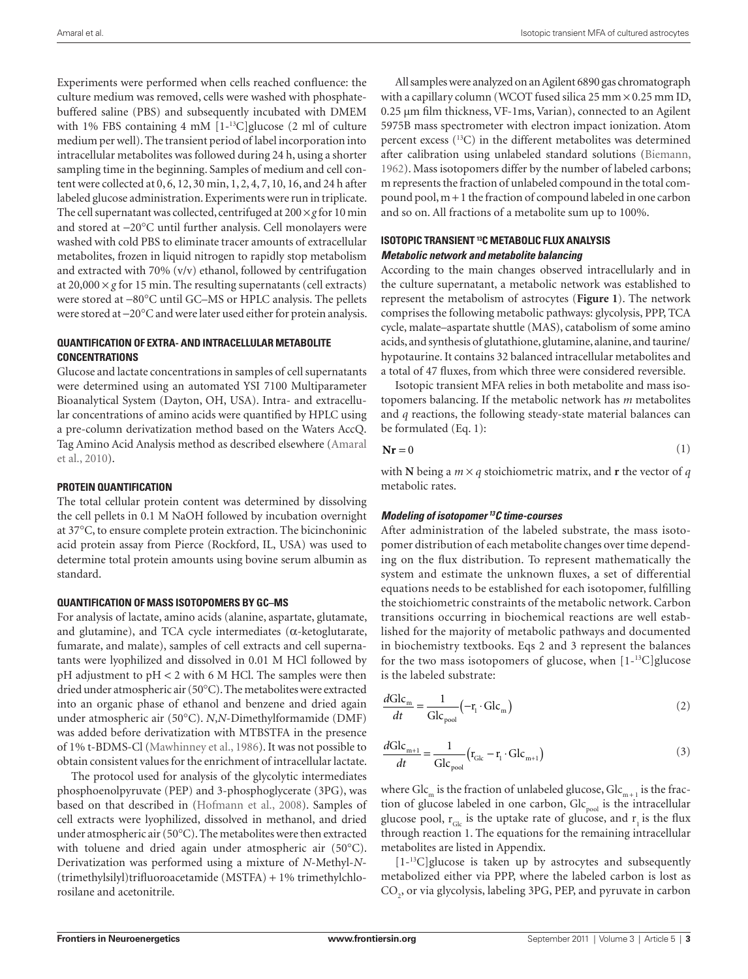Experiments were performed when cells reached confluence: the culture medium was removed, cells were washed with phosphatebuffered saline (PBS) and subsequently incubated with DMEM with 1% FBS containing 4 mM [1-13C]glucose (2 ml of culture medium per well). The transient period of label incorporation into intracellular metabolites was followed during 24 h, using a shorter sampling time in the beginning. Samples of medium and cell content were collected at 0, 6, 12, 30 min, 1, 2, 4, 7, 10, 16, and 24 h after labeled glucose administration. Experiments were run in triplicate. The cell supernatant was collected, centrifuged at  $200 \times g$  for 10 min and stored at −20°C until further analysis. Cell monolayers were washed with cold PBS to eliminate tracer amounts of extracellular metabolites, frozen in liquid nitrogen to rapidly stop metabolism and extracted with 70% (v/v) ethanol, followed by centrifugation at  $20,000 \times g$  for 15 min. The resulting supernatants (cell extracts) were stored at −80°C until GC–MS or HPLC analysis. The pellets were stored at −20°C and were later used either for protein analysis.

# **Quantification of extra- and intracellular metabolite concentrations**

Glucose and lactate concentrations in samples of cell supernatants were determined using an automated YSI 7100 Multiparameter Bioanalytical System (Dayton, OH, USA). Intra- and extracellular concentrations of amino acids were quantified by HPLC using a pre-column derivatization method based on the Waters AccQ. Tag Amino Acid Analysis method as described elsewhere (Amaral et al., 2010).

# **Protein quantification**

The total cellular protein content was determined by dissolving the cell pellets in 0.1 M NaOH followed by incubation overnight at 37°C, to ensure complete protein extraction. The bicinchoninic acid protein assay from Pierce (Rockford, IL, USA) was used to determine total protein amounts using bovine serum albumin as standard.

## **Quantification of mass isotopomers by GC–MS**

For analysis of lactate, amino acids (alanine, aspartate, glutamate, and glutamine), and TCA cycle intermediates ( $\alpha$ -ketoglutarate, fumarate, and malate), samples of cell extracts and cell supernatants were lyophilized and dissolved in 0.01 M HCl followed by pH adjustment to pH < 2 with 6 M HCl. The samples were then dried under atmospheric air (50°C). The metabolites were extracted into an organic phase of ethanol and benzene and dried again under atmospheric air (50°C). *N*,*N*-Dimethylformamide (DMF) was added before derivatization with MTBSTFA in the presence of 1% t-BDMS-Cl (Mawhinney et al., 1986). It was not possible to obtain consistent values for the enrichment of intracellular lactate.

The protocol used for analysis of the glycolytic intermediates phosphoenolpyruvate (PEP) and 3-phosphoglycerate (3PG), was based on that described in (Hofmann et al., 2008). Samples of cell extracts were lyophilized, dissolved in methanol, and dried under atmospheric air (50°C). The metabolites were then extracted with toluene and dried again under atmospheric air (50°C). Derivatization was performed using a mixture of *N*-Methyl-*N*- (trimethylsilyl)trifluoroacetamide (MSTFA) + 1% trimethylchlorosilane and acetonitrile.

All samples were analyzed on an Agilent 6890 gas chromatograph with a capillary column (WCOT fused silica  $25 \text{ mm} \times 0.25 \text{ mm}$  ID, 0.25 μm film thickness, VF-1ms, Varian), connected to an Agilent 5975B mass spectrometer with electron impact ionization. Atom percent excess  $(13)$  in the different metabolites was determined after calibration using unlabeled standard solutions (Biemann, 1962). Mass isotopomers differ by the number of labeled carbons; m represents the fraction of unlabeled compound in the total compound pool, m + 1 the fraction of compound labeled in one carbon and so on. All fractions of a metabolite sum up to 100%.

# **Isotopic transient 13C Metabolic Flux Analysis** *Metabolic network and metabolite balancing*

According to the main changes observed intracellularly and in the culture supernatant, a metabolic network was established to represent the metabolism of astrocytes (**Figure 1**). The network comprises the following metabolic pathways: glycolysis, PPP, TCA cycle, malate–aspartate shuttle (MAS), catabolism of some amino acids, and synthesis of glutathione, glutamine, alanine, and taurine/ hypotaurine. It contains 32 balanced intracellular metabolites and a total of 47 fluxes, from which three were considered reversible.

Isotopic transient MFA relies in both metabolite and mass isotopomers balancing. If the metabolic network has *m* metabolites and *q* reactions, the following steady-state material balances can be formulated (Eq. 1):

$$
Nr = 0
$$
 (1)

with **N** being a  $m \times q$  stoichiometric matrix, and **r** the vector of *q* metabolic rates.

# *Modeling of isotopomer 13C time-courses*

After administration of the labeled substrate, the mass isotopomer distribution of each metabolite changes over time depending on the flux distribution. To represent mathematically the system and estimate the unknown fluxes, a set of differential equations needs to be established for each isotopomer, fulfilling the stoichiometric constraints of the metabolic network. Carbon transitions occurring in biochemical reactions are well established for the majority of metabolic pathways and documented in biochemistry textbooks. Eqs 2 and 3 represent the balances for the two mass isotopomers of glucose, when [1-13C]glucose is the labeled substrate:

$$
\frac{d\mathrm{Glc}_{\mathrm{m}}}{dt} = \frac{1}{\mathrm{Glc}_{\mathrm{pool}}} \left( -\mathbf{r}_{\mathrm{l}} \cdot \mathrm{Glc}_{\mathrm{m}} \right) \tag{2}
$$

$$
\frac{d\mathrm{Glc}_{m+1}}{dt} = \frac{1}{\mathrm{Glc}_{\mathrm{pool}}} \left( \mathbf{r}_{\mathrm{Glc}} - \mathbf{r}_{1} \cdot \mathrm{Glc}_{m+1} \right)
$$
(3)

where  $\mathrm{Glc}_{_\mathrm{m}}$  is the fraction of unlabeled glucose,  $\mathrm{Glc}_{_\mathrm{m+1}}$  is the fraction of glucose labeled in one carbon,  $Glc_{\text{pool}}$  is the intracellular glucose pool,  $r_{\text{G}_c}$  is the uptake rate of glucose, and  $r_1$  is the flux through reaction 1. The equations for the remaining intracellular metabolites are listed in Appendix.

[1-13C]glucose is taken up by astrocytes and subsequently metabolized either via PPP, where the labeled carbon is lost as CO<sub>2</sub>, or via glycolysis, labeling 3PG, PEP, and pyruvate in carbon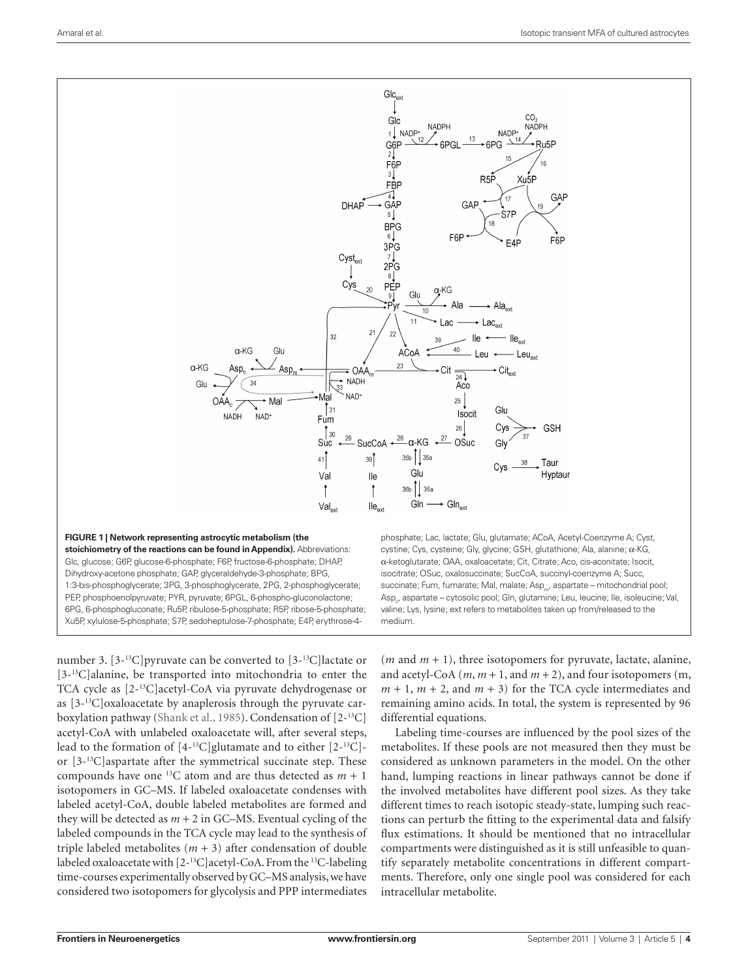

number 3. [3-13C]pyruvate can be converted to [3-13C]lactate or [3<sup>-13</sup>C]alanine, be transported into mitochondria to enter the TCA cycle as [2-13C]acetyl-CoA via pyruvate dehydrogenase or as [3-13C]oxaloacetate by anaplerosis through the pyruvate carboxylation pathway (Shank et al., 1985). Condensation of [2-13C] acetyl-CoA with unlabeled oxaloacetate will, after several steps, lead to the formation of  $[4^{-13}C]$ glutamate and to either  $[2^{-13}C]$ or [3-13C]aspartate after the symmetrical succinate step. These compounds have one <sup>13</sup>C atom and are thus detected as  $m + 1$ isotopomers in GC–MS. If labeled oxaloacetate condenses with labeled acetyl-CoA, double labeled metabolites are formed and they will be detected as  $m + 2$  in GC–MS. Eventual cycling of the labeled compounds in the TCA cycle may lead to the synthesis of triple labeled metabolites  $(m + 3)$  after condensation of double labeled oxaloacetate with [2-<sup>13</sup>C]acetyl-CoA. From the <sup>13</sup>C-labeling time-courses experimentally observed by GC–MS analysis, we have considered two isotopomers for glycolysis and PPP intermediates

( $m$  and  $m + 1$ ), three isotopomers for pyruvate, lactate, alanine, and acetyl-CoA  $(m, m+1, and m+2)$ , and four isotopomers  $(m, m+1, m+1)$  $m + 1$ ,  $m + 2$ , and  $m + 3$ ) for the TCA cycle intermediates and remaining amino acids. In total, the system is represented by 96 differential equations.

Labeling time-courses are influenced by the pool sizes of the metabolites. If these pools are not measured then they must be considered as unknown parameters in the model. On the other hand, lumping reactions in linear pathways cannot be done if the involved metabolites have different pool sizes. As they take different times to reach isotopic steady-state, lumping such reactions can perturb the fitting to the experimental data and falsify flux estimations. It should be mentioned that no intracellular compartments were distinguished as it is still unfeasible to quantify separately metabolite concentrations in different compartments. Therefore, only one single pool was considered for each intracellular metabolite.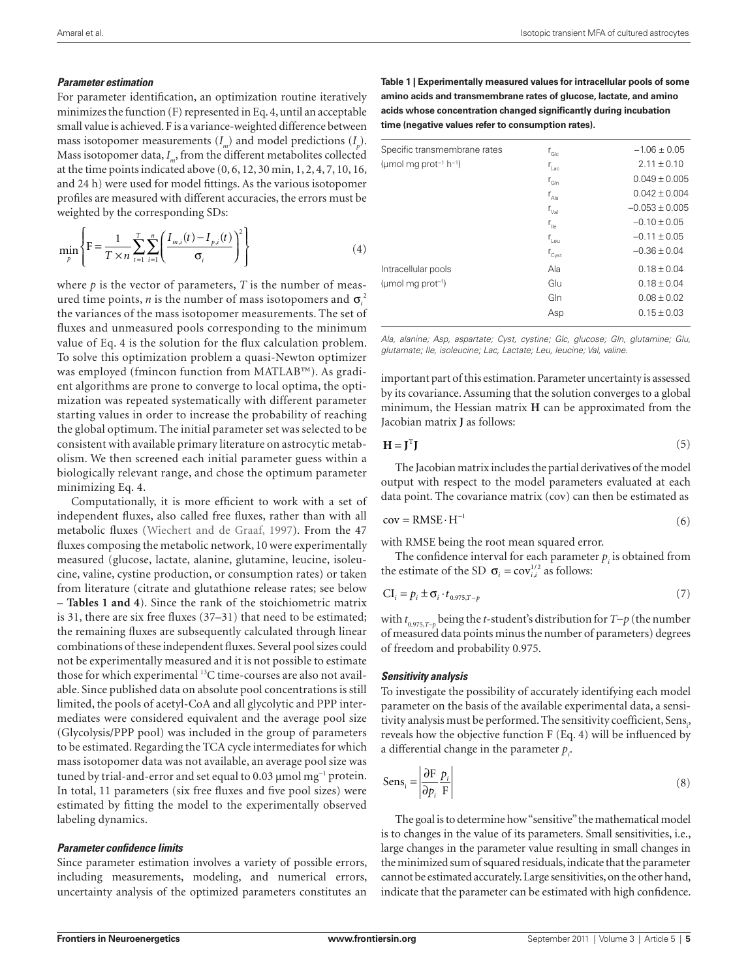# *Parameter estimation*

For parameter identification, an optimization routine iteratively minimizes the function (F) represented in Eq. 4, until an acceptable small value is achieved. F is a variance-weighted difference between mass isotopomer measurements  $(I_m)$  and model predictions  $(I_p)$ . Mass isotopomer data, *I <sup>m</sup>*, from the different metabolites collected at the time points indicated above (0, 6, 12, 30 min, 1, 2, 4, 7, 10, 16, and 24 h) were used for model fittings. As the various isotopomer profiles are measured with different accuracies, the errors must be weighted by the corresponding SDs:

$$
\min_{p} \left\{ F = \frac{1}{T \times n} \sum_{i=1}^{T} \sum_{i=1}^{n} \left( \frac{I_{m,i}(t) - I_{p,i}(t)}{\sigma_i} \right)^2 \right\}
$$
(4)

where  $p$  is the vector of parameters,  $T$  is the number of measured time points, *n* is the number of mass isotopomers and  $\sigma_i^2$ the variances of the mass isotopomer measurements. The set of fluxes and unmeasured pools corresponding to the minimum value of Eq. 4 is the solution for the flux calculation problem. To solve this optimization problem a quasi-Newton optimizer was employed (fmincon function from MATLAB™). As gradient algorithms are prone to converge to local optima, the optimization was repeated systematically with different parameter starting values in order to increase the probability of reaching the global optimum. The initial parameter set was selected to be consistent with available primary literature on astrocytic metabolism. We then screened each initial parameter guess within a biologically relevant range, and chose the optimum parameter minimizing Eq. 4.

Computationally, it is more efficient to work with a set of independent fluxes, also called free fluxes, rather than with all metabolic fluxes (Wiechert and de Graaf, 1997). From the 47 fluxes composing the metabolic network, 10 were experimentally measured (glucose, lactate, alanine, glutamine, leucine, isoleucine, valine, cystine production, or consumption rates) or taken from literature (citrate and glutathione release rates; see below – **Tables 1 and 4**). Since the rank of the stoichiometric matrix is 31, there are six free fluxes (37–31) that need to be estimated; the remaining fluxes are subsequently calculated through linear combinations of these independent fluxes. Several pool sizes could not be experimentally measured and it is not possible to estimate those for which experimental <sup>13</sup>C time-courses are also not available. Since published data on absolute pool concentrations is still limited, the pools of acetyl-CoA and all glycolytic and PPP intermediates were considered equivalent and the average pool size (Glycolysis/PPP pool) was included in the group of parameters to be estimated. Regarding the TCA cycle intermediates for which mass isotopomer data was not available, an average pool size was tuned by trial-and-error and set equal to 0.03 µmol mg<sup>-1</sup> protein. In total, 11 parameters (six free fluxes and five pool sizes) were estimated by fitting the model to the experimentally observed labeling dynamics.

## *Parameter confidence limits*

Since parameter estimation involves a variety of possible errors, including measurements, modeling, and numerical errors, uncertainty analysis of the optimized parameters constitutes an

**Table 1 | Experimentally measured values for intracellular pools of some amino acids and transmembrane rates of glucose, lactate, and amino acids whose concentration changed significantly during incubation time (negative values refer to consumption rates).**

| $r_{\text{Glc}}$  | $-1.06 \pm 0.05$   |
|-------------------|--------------------|
|                   | $2.11 \pm 0.10$    |
| $r_{\text{GIn}}$  | $0.049 + 0.005$    |
| $r_{A A}$         | $0.042 + 0.004$    |
| $r_{\rm val}$     | $-0.053 \pm 0.005$ |
| $r_{\rm{He}}$     | $-0.10 \pm 0.05$   |
| $r_{\text{Leu}}$  | $-0.11 \pm 0.05$   |
| $r_{\text{Cyst}}$ | $-0.36 \pm 0.04$   |
| Ala               | $0.18 \pm 0.04$    |
| Glu               | $0.18 \pm 0.04$    |
| Gln               | $0.08 \pm 0.02$    |
| Asp               | $0.15 \pm 0.03$    |
|                   | $r_{\text{Lac}}$   |

*Ala, alanine; Asp, aspartate; Cyst, cystine; Glc, glucose; Gln, glutamine; Glu, glutamate; Ile, isoleucine; Lac, Lactate; Leu, leucine; Val, valine.*

important part of this estimation. Parameter uncertainty is assessed by its covariance. Assuming that the solution converges to a global minimum, the Hessian matrix **H** can be approximated from the Jacobian matrix **J** as follows:

$$
\mathbf{H} = \mathbf{J}^{\mathrm{T}} \mathbf{J} \tag{5}
$$

The Jacobian matrix includes the partial derivatives of the model output with respect to the model parameters evaluated at each data point. The covariance matrix (cov) can then be estimated as

$$
cov = RMSE \cdot H^{-1}
$$
 (6)

with RMSE being the root mean squared error.

The confidence interval for each parameter  $p_i$  is obtained from the estimate of the SD  $\sigma_i = \text{cov}_{i,i}^{1/2}$  as follows:

$$
CI_i = p_i \pm \sigma_i \cdot t_{0.975, T-p}
$$
\n<sup>(7)</sup>

with *t* 0.975,*T*−*p* being the *t*-student's distribution for *T*−*p* (the number of measured data points minus the number of parameters) degrees of freedom and probability 0.975.

## *Sensitivity analysis*

To investigate the possibility of accurately identifying each model parameter on the basis of the available experimental data, a sensitivity analysis must be performed. The sensitivity coefficient, Sens<sub>1</sub>, reveals how the objective function F (Eq. 4) will be influenced by a differential change in the parameter  $p_i$ 

$$
\text{Sens}_{i} = \left| \frac{\partial \text{F}}{\partial p_{i}} \frac{p_{i}}{\text{F}} \right| \tag{8}
$$

The goal is to determine how "sensitive" the mathematical model is to changes in the value of its parameters. Small sensitivities, i.e., large changes in the parameter value resulting in small changes in the minimized sum of squared residuals, indicate that the parameter cannot be estimated accurately. Large sensitivities, on the other hand, indicate that the parameter can be estimated with high confidence.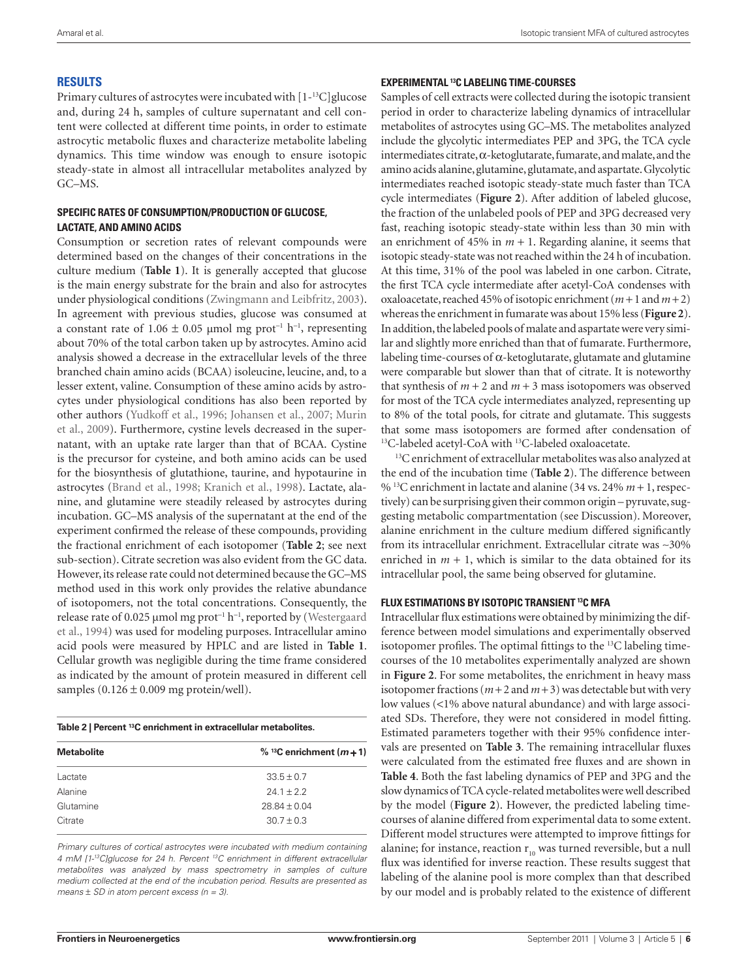# **Results**

Primary cultures of astrocytes were incubated with [1-13C]glucose and, during 24 h, samples of culture supernatant and cell content were collected at different time points, in order to estimate astrocytic metabolic fluxes and characterize metabolite labeling dynamics. This time window was enough to ensure isotopic steady-state in almost all intracellular metabolites analyzed by GC–MS.

# **Specific rates of consumption/production of glucose, lactate, and amino acids**

Consumption or secretion rates of relevant compounds were determined based on the changes of their concentrations in the culture medium (**Table 1**). It is generally accepted that glucose is the main energy substrate for the brain and also for astrocytes under physiological conditions (Zwingmann and Leibfritz, 2003). In agreement with previous studies, glucose was consumed at a constant rate of  $1.06 \pm 0.05$  μmol mg prot<sup>-1</sup> h<sup>-1</sup>, representing about 70% of the total carbon taken up by astrocytes. Amino acid analysis showed a decrease in the extracellular levels of the three branched chain amino acids (BCAA) isoleucine, leucine, and, to a lesser extent, valine. Consumption of these amino acids by astrocytes under physiological conditions has also been reported by other authors (Yudkoff et al., 1996; Johansen et al., 2007; Murin et al., 2009). Furthermore, cystine levels decreased in the supernatant, with an uptake rate larger than that of BCAA. Cystine is the precursor for cysteine, and both amino acids can be used for the biosynthesis of glutathione, taurine, and hypotaurine in astrocytes (Brand et al., 1998; Kranich et al., 1998). Lactate, alanine, and glutamine were steadily released by astrocytes during incubation. GC–MS analysis of the supernatant at the end of the experiment confirmed the release of these compounds, providing the fractional enrichment of each isotopomer (**Table 2**; see next sub-section). Citrate secretion was also evident from the GC data. However, its release rate could not determined because the GC–MS method used in this work only provides the relative abundance of isotopomers, not the total concentrations. Consequently, the release rate of 0.025 µmol mg prot<sup>-1</sup> h<sup>-1</sup>, reported by (Westergaard et al., 1994) was used for modeling purposes. Intracellular amino acid pools were measured by HPLC and are listed in **Table 1**. Cellular growth was negligible during the time frame considered as indicated by the amount of protein measured in different cell samples  $(0.126 \pm 0.009 \text{ mg protein/well}).$ 

| Table 2   Percent <sup>13</sup> C enrichment in extracellular metabolites. |
|----------------------------------------------------------------------------|
|----------------------------------------------------------------------------|

| <b>Metabolite</b> | $\%$ <sup>13</sup> C enrichment ( <i>m</i> + 1) |
|-------------------|-------------------------------------------------|
| Lactate           | $33.5 \pm 0.7$                                  |
| Alanine           | $241 + 22$                                      |
| Glutamine         | $28.84 \pm 0.04$                                |
| Citrate           | $30.7 \pm 0.3$                                  |
|                   |                                                 |

*Primary cultures of cortical astrocytes were incubated with medium containing 4 mM [1-13C]glucose for 24 h. Percent 13C enrichment in different extracellular metabolites was analyzed by mass spectrometry in samples of culture medium collected at the end of the incubation period. Results are presented as means* ± *SD in atom percent excess (n = 3).*

# **Experimental 13C labeling time-courses**

Samples of cell extracts were collected during the isotopic transient period in order to characterize labeling dynamics of intracellular metabolites of astrocytes using GC–MS. The metabolites analyzed include the glycolytic intermediates PEP and 3PG, the TCA cycle intermediates citrate,  $\alpha$ -ketoglutarate, fumarate, and malate, and the amino acids alanine, glutamine, glutamate, and aspartate. Glycolytic intermediates reached isotopic steady-state much faster than TCA cycle intermediates (**Figure 2**). After addition of labeled glucose, the fraction of the unlabeled pools of PEP and 3PG decreased very fast, reaching isotopic steady-state within less than 30 min with an enrichment of 45% in  $m + 1$ . Regarding alanine, it seems that isotopic steady-state was not reached within the 24 h of incubation. At this time, 31% of the pool was labeled in one carbon. Citrate, the first TCA cycle intermediate after acetyl-CoA condenses with oxaloacetate, reached 45% of isotopic enrichment  $(m+1 \text{ and } m+2)$ whereas the enrichment in fumarate was about 15% less (**Figure 2**). In addition, the labeled pools of malate and aspartate were very similar and slightly more enriched than that of fumarate. Furthermore, labeling time-courses of  $\alpha$ -ketoglutarate, glutamate and glutamine were comparable but slower than that of citrate. It is noteworthy that synthesis of  $m + 2$  and  $m + 3$  mass isotopomers was observed for most of the TCA cycle intermediates analyzed, representing up to 8% of the total pools, for citrate and glutamate. This suggests that some mass isotopomers are formed after condensation of 13C-labeled acetyl-CoA with 13C-labeled oxaloacetate.

<sup>13</sup>C enrichment of extracellular metabolites was also analyzed at the end of the incubation time (**Table 2**). The difference between % 13C enrichment in lactate and alanine (34 vs. 24% *m* + 1, respectively) can be surprising given their common origin – pyruvate, suggesting metabolic compartmentation (see Discussion). Moreover, alanine enrichment in the culture medium differed significantly from its intracellular enrichment. Extracellular citrate was ∼30% enriched in  $m + 1$ , which is similar to the data obtained for its intracellular pool, the same being observed for glutamine.

## **Flux estimations by isotopic transient 13C MFA**

Intracellular flux estimations were obtained by minimizing the difference between model simulations and experimentally observed isotopomer profiles. The optimal fittings to the 13C labeling timecourses of the 10 metabolites experimentally analyzed are shown in **Figure 2**. For some metabolites, the enrichment in heavy mass isotopomer fractions  $(m + 2$  and  $m + 3)$  was detectable but with very low values (<1% above natural abundance) and with large associated SDs. Therefore, they were not considered in model fitting. Estimated parameters together with their 95% confidence intervals are presented on **Table 3**. The remaining intracellular fluxes were calculated from the estimated free fluxes and are shown in **Table 4**. Both the fast labeling dynamics of PEP and 3PG and the slow dynamics of TCA cycle-related metabolites were well described by the model (**Figure 2**). However, the predicted labeling timecourses of alanine differed from experimental data to some extent. Different model structures were attempted to improve fittings for alanine; for instance, reaction  $r_{10}$  was turned reversible, but a null flux was identified for inverse reaction. These results suggest that labeling of the alanine pool is more complex than that described by our model and is probably related to the existence of different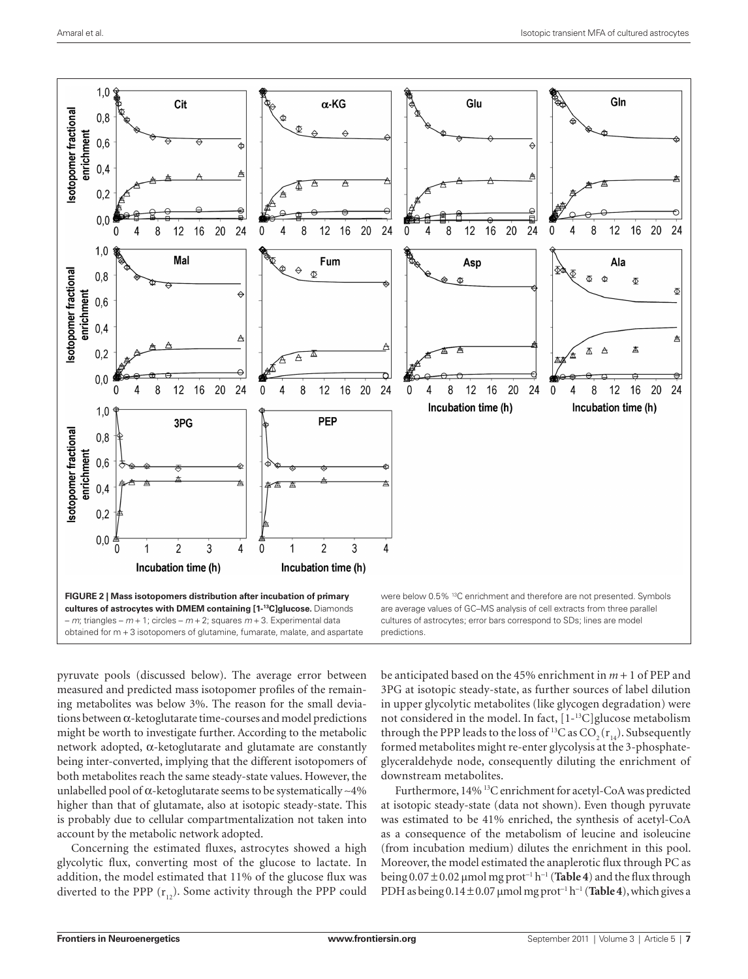

pyruvate pools (discussed below). The average error between measured and predicted mass isotopomer profiles of the remaining metabolites was below 3%. The reason for the small deviations between α-ketoglutarate time-courses and model predictions might be worth to investigate further. According to the metabolic network adopted, α-ketoglutarate and glutamate are constantly being inter-converted, implying that the different isotopomers of both metabolites reach the same steady-state values. However, the unlabelled pool of α-ketoglutarate seems to be systematically ∼4% higher than that of glutamate, also at isotopic steady-state. This is probably due to cellular compartmentalization not taken into account by the metabolic network adopted.

Concerning the estimated fluxes, astrocytes showed a high glycolytic flux, converting most of the glucose to lactate. In addition, the model estimated that 11% of the glucose flux was diverted to the PPP  $(r_{12})$ . Some activity through the PPP could

be anticipated based on the 45% enrichment in *m* + 1 of PEP and 3PG at isotopic steady-state, as further sources of label dilution in upper glycolytic metabolites (like glycogen degradation) were not considered in the model. In fact, [1-13C]glucose metabolism through the PPP leads to the loss of <sup>13</sup>C as  $CO_2(r_{14})$ . Subsequently formed metabolites might re-enter glycolysis at the 3-phosphateglyceraldehyde node, consequently diluting the enrichment of downstream metabolites.

Furthermore, 14% 13C enrichment for acetyl-CoA was predicted at isotopic steady-state (data not shown). Even though pyruvate was estimated to be 41% enriched, the synthesis of acetyl-CoA as a consequence of the metabolism of leucine and isoleucine (from incubation medium) dilutes the enrichment in this pool. Moreover, the model estimated the anaplerotic flux through PC as being 0.07 ± 0.02 μmol mg prot<sup>−</sup><sup>1</sup> h<sup>−</sup><sup>1</sup> (**Table 4**) and the flux through PDH as being 0.14 ± 0.07 μmol mg prot<sup>−</sup><sup>1</sup> h<sup>−</sup><sup>1</sup> (**Table 4**), which gives a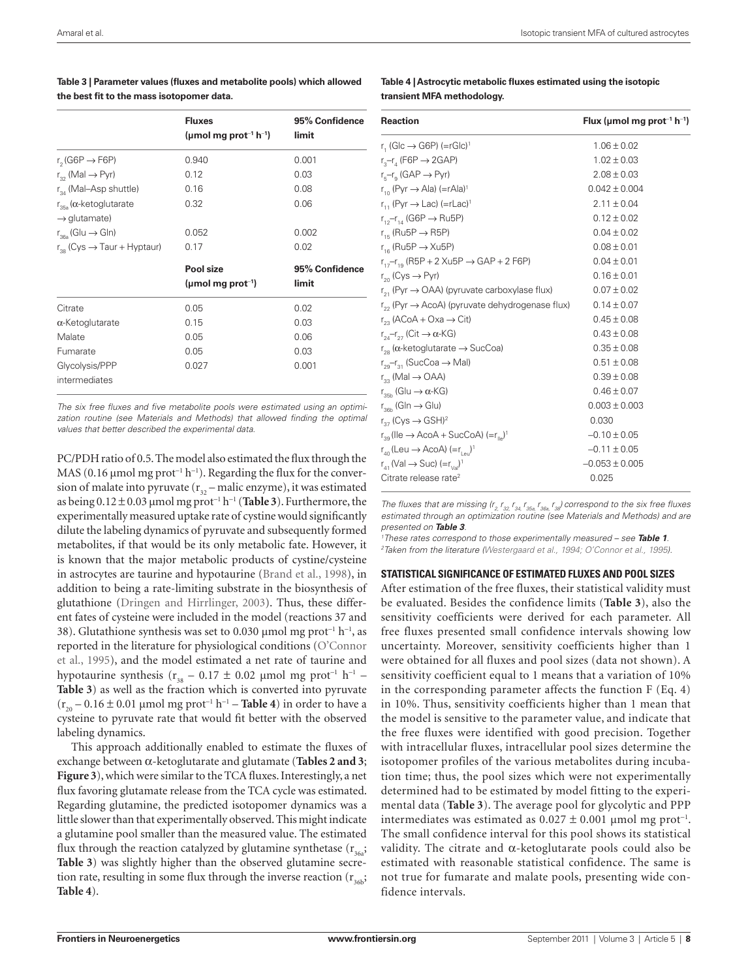|                                                                     | <b>Fluxes</b><br>(µmol mg prot <sup>-1</sup> h <sup>-1</sup> ) | 95% Confidence<br>limit |
|---------------------------------------------------------------------|----------------------------------------------------------------|-------------------------|
| r <sub>2</sub> (G6P $\rightarrow$ F6P)                              | 0.940                                                          | 0.001                   |
| $r_{32}$ (Mal $\rightarrow$ Pyr)                                    | 0.12                                                           | 0.03                    |
| $r_{34}$ (Mal–Asp shuttle)                                          | 0.16                                                           | 0.08                    |
| $r_{\rm 35a}$ ( $\alpha$ -ketoglutarate<br>$\rightarrow$ glutamate) | 0.32                                                           | 0.06                    |
| $r_{\text{36a}}$ (Glu $\rightarrow$ Gln)                            | 0.052                                                          | 0.002                   |
| $r_{38}$ (Cys $\rightarrow$ Taur + Hyptaur)                         | 0.17                                                           | 0.02                    |
|                                                                     | Pool size<br>(µmol mg prot <sup>-1</sup> )                     | 95% Confidence<br>limit |
| Citrate                                                             | 0.05                                                           | 0.02                    |
| $\alpha$ -Ketoglutarate                                             | 0.15                                                           | 0.03                    |
| Malate                                                              | 0.05                                                           | 0.06                    |
| Fumarate                                                            | 0.05                                                           | 0.03                    |
| Glycolysis/PPP<br>intermediates                                     | 0.027                                                          | 0.001                   |

**Table 3 | Parameter values (fluxes and metabolite pools) which allowed the best fit to the mass isotopomer data.**

*The six free fluxes and five metabolite pools were estimated using an optimi*zation routine (see Materials and Methods) that allowed finding the optimal *values that better described the experimental data.*

PC/PDH ratio of 0.5. The model also estimated the flux through the MAS (0.16 μmol mg prot<sup>-1</sup> h<sup>-1</sup>). Regarding the flux for the conversion of malate into pyruvate  $(r_{32} - \text{malic enzyme})$ , it was estimated as being 0.12 ± 0.03 μmol mg prot<sup>−</sup><sup>1</sup> h<sup>−</sup><sup>1</sup> (**Table 3**). Furthermore, the experimentally measured uptake rate of cystine would significantly dilute the labeling dynamics of pyruvate and subsequently formed metabolites, if that would be its only metabolic fate. However, it is known that the major metabolic products of cystine/cysteine in astrocytes are taurine and hypotaurine (Brand et al., 1998), in addition to being a rate-limiting substrate in the biosynthesis of glutathione (Dringen and Hirrlinger, 2003). Thus, these different fates of cysteine were included in the model (reactions 37 and 38). Glutathione synthesis was set to 0.030 µmol mg prot<sup>-1</sup> h<sup>-1</sup>, as reported in the literature for physiological conditions (O'Connor et al., 1995), and the model estimated a net rate of taurine and hypotaurine synthesis ( $r_{38}$  – 0.17 ± 0.02 µmol mg prot<sup>-1</sup> h<sup>-1</sup> – **Table 3**) as well as the fraction which is converted into pyruvate (r20 – 0.16 ± 0.01 μmol mg prot<sup>−</sup><sup>1</sup> h<sup>−</sup><sup>1</sup> – **Table 4**) in order to have a cysteine to pyruvate rate that would fit better with the observed labeling dynamics.

This approach additionally enabled to estimate the fluxes of exchange between α-ketoglutarate and glutamate (**Tables 2 and 3**; **Figure 3**), which were similar to the TCA fluxes. Interestingly, a net flux favoring glutamate release from the TCA cycle was estimated. Regarding glutamine, the predicted isotopomer dynamics was a little slower than that experimentally observed. This might indicate a glutamine pool smaller than the measured value. The estimated flux through the reaction catalyzed by glutamine synthetase  $(r_{363};$ **Table 3**) was slightly higher than the observed glutamine secretion rate, resulting in some flux through the inverse reaction  $(r_{36b};$ **Table 4**).

**Table 4 | Astrocytic metabolic fluxes estimated using the isotopic transient MFA methodology.**

| <b>Reaction</b>                                                                         | Flux (µmol mg prot <sup>-1</sup> h <sup>-1</sup> ) |
|-----------------------------------------------------------------------------------------|----------------------------------------------------|
| r. (Glc $\rightarrow$ G6P) (=rGlc) <sup>1</sup>                                         | $1.06 \pm 0.02$                                    |
| r <sub>3</sub> -r <sub>4</sub> (F6P $\rightarrow$ 2GAP)                                 | $1.02 \pm 0.03$                                    |
| $r_{\scriptscriptstyle \rm E}$ – $r_{\scriptscriptstyle \rm Q}$ (GAP $\rightarrow$ Pyr) | $2.08 \pm 0.03$                                    |
| $r_{10}$ (Pyr $\rightarrow$ Ala) (=rAla) <sup>1</sup>                                   | $0.042 \pm 0.004$                                  |
| $r_{11}$ (Pyr $\rightarrow$ Lac) (=rLac) <sup>1</sup>                                   | $2.11 \pm 0.04$                                    |
| $r_{12} - r_{14}$ (G6P $\rightarrow$ Ru5P)                                              | $0.12 \pm 0.02$                                    |
| $r_{16}$ (Ru5P $\rightarrow$ R5P)                                                       | $0.04 \pm 0.02$                                    |
| $r_{16}$ (Ru5P $\rightarrow$ Xu5P)                                                      | $0.08 \pm 0.01$                                    |
| $r_{17} - r_{19}$ (R5P + 2 Xu5P $\rightarrow$ GAP + 2 F6P)                              | $0.04 \pm 0.01$                                    |
| $r_{\infty}$ (Cys $\rightarrow$ Pyr)                                                    | $0.16 \pm 0.01$                                    |
| $r_{21}$ (Pyr $\rightarrow$ OAA) (pyruvate carboxylase flux)                            | $0.07 \pm 0.02$                                    |
| $r_{22}$ (Pyr $\rightarrow$ AcoA) (pyruvate dehydrogenase flux)                         | $0.14 \pm 0.07$                                    |
| $r_{\infty}$ (ACoA + Oxa $\rightarrow$ Cit)                                             | $0.45 \pm 0.08$                                    |
| $r_{2a}$ - $r_{27}$ (Cit $\rightarrow \alpha$ -KG)                                      | $0.43 \pm 0.08$                                    |
| $r_{28}$ ( $\alpha$ -ketoglutarate $\rightarrow$ SucCoa)                                | $0.35 \pm 0.08$                                    |
| $r_{29} - r_{31}$ (SucCoa $\rightarrow$ Mal)                                            | $0.51 \pm 0.08$                                    |
| $r_{22}$ (Mal $\rightarrow$ OAA)                                                        | $0.39 \pm 0.08$                                    |
| $r_{\rm sph}$ (Glu $\rightarrow \alpha$ -KG)                                            | $0.46 \pm 0.07$                                    |
| $r_{\rm s6h}$ (Gln $\rightarrow$ Glu)                                                   | $0.003 \pm 0.003$                                  |
| $r_{27}$ (Cys $\rightarrow$ GSH) <sup>2</sup>                                           | 0.030                                              |
| $r_{\infty}$ (Ile $\rightarrow$ AcoA + SucCoA) (= $r_{\infty}$ ) <sup>1</sup>           | $-0.10 \pm 0.05$                                   |
| $r_{\infty}$ (Leu $\rightarrow$ AcoA) (=r, $\Box$ ) <sup>1</sup>                        | $-0.11 \pm 0.05$                                   |
| $r_{41}$ (Val $\rightarrow$ Suc) $(=r_{1/2})^1$                                         | $-0.053 \pm 0.005$                                 |
| Citrate release rate <sup>2</sup>                                                       | 0.025                                              |

*The fluxes that are missing (r<sub>2,</sub> r<sub>32,</sub> r<sub>34,</sub> r<sub>35a,</sub> r<sub>36a,</sub> r<sub>38</sub>) correspond to the six free fluxes estimated through an optimization routine (see Materials and Methods) and are presented on Table 3.*

*1 These rates correspond to those experimentally measured – see Table 1. 2 Taken from the literature (Westergaard et al., 1994; O'Connor et al., 1995).*

## **Statistical significance of estimated fluxes and pool sizes**

After estimation of the free fluxes, their statistical validity must be evaluated. Besides the confidence limits (**Table 3**), also the sensitivity coefficients were derived for each parameter. All free fluxes presented small confidence intervals showing low uncertainty. Moreover, sensitivity coefficients higher than 1 were obtained for all fluxes and pool sizes (data not shown). A sensitivity coefficient equal to 1 means that a variation of 10% in the corresponding parameter affects the function  $F$  (Eq. 4) in 10%. Thus, sensitivity coefficients higher than 1 mean that the model is sensitive to the parameter value, and indicate that the free fluxes were identified with good precision. Together with intracellular fluxes, intracellular pool sizes determine the isotopomer profiles of the various metabolites during incubation time; thus, the pool sizes which were not experimentally determined had to be estimated by model fitting to the experimental data (**Table 3**). The average pool for glycolytic and PPP intermediates was estimated as  $0.027 \pm 0.001$  μmol mg prot<sup>-1</sup>. The small confidence interval for this pool shows its statistical validity. The citrate and  $α$ -ketoglutarate pools could also be estimated with reasonable statistical confidence. The same is not true for fumarate and malate pools, presenting wide confidence intervals.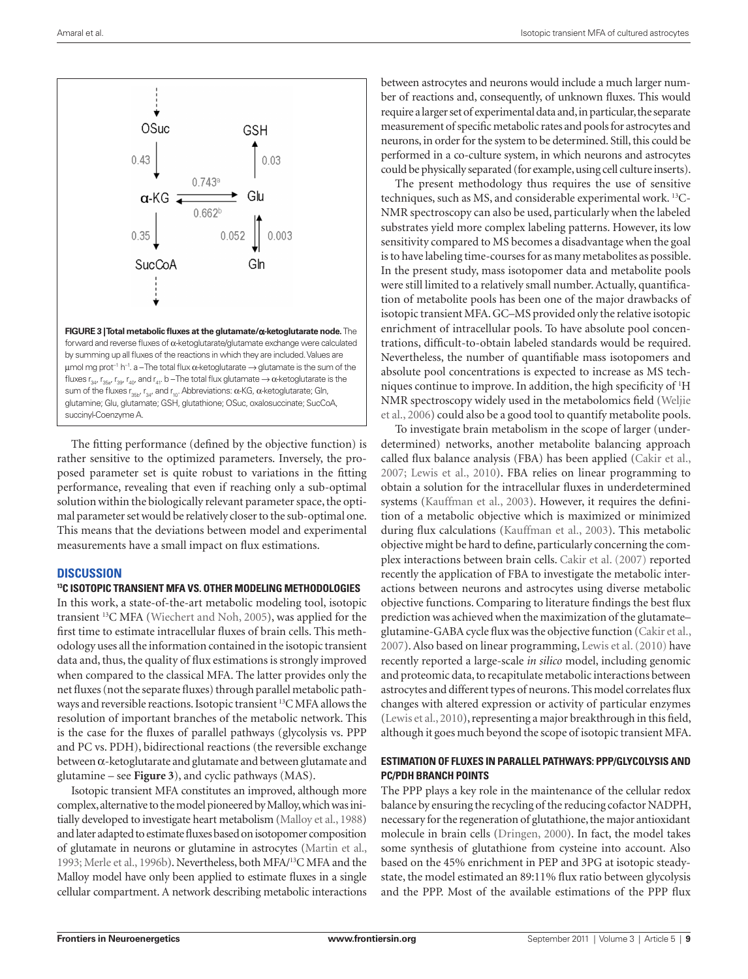

The fitting performance (defined by the objective function) is rather sensitive to the optimized parameters. Inversely, the proposed parameter set is quite robust to variations in the fitting performance, revealing that even if reaching only a sub-optimal solution within the biologically relevant parameter space, the optimal parameter set would be relatively closer to the sub-optimal one. This means that the deviations between model and experimental measurements have a small impact on flux estimations.

## **Discussion**

## **13C isotopic transient MFA vs. other modeling methodologies**

In this work, a state-of-the-art metabolic modeling tool, isotopic transient 13C MFA (Wiechert and Noh, 2005), was applied for the first time to estimate intracellular fluxes of brain cells. This methodology uses all the information contained in the isotopic transient data and, thus, the quality of flux estimations is strongly improved when compared to the classical MFA. The latter provides only the net fluxes (not the separate fluxes) through parallel metabolic pathways and reversible reactions. Isotopic transient <sup>13</sup>C MFA allows the resolution of important branches of the metabolic network. This is the case for the fluxes of parallel pathways (glycolysis vs. PPP and PC vs. PDH), bidirectional reactions (the reversible exchange between α-ketoglutarate and glutamate and between glutamate and glutamine – see **Figure 3**), and cyclic pathways (MAS).

Isotopic transient MFA constitutes an improved, although more complex, alternative to the model pioneered by Malloy, which was initially developed to investigate heart metabolism (Malloy et al., 1988) and later adapted to estimate fluxes based on isotopomer composition of glutamate in neurons or glutamine in astrocytes (Martin et al., 1993; Merle et al., 1996b). Nevertheless, both MFA/13C MFA and the Malloy model have only been applied to estimate fluxes in a single cellular compartment. A network describing metabolic interactions

between astrocytes and neurons would include a much larger number of reactions and, consequently, of unknown fluxes. This would require a larger set of experimental data and, in particular, the separate measurement of specific metabolic rates and pools for astrocytes and neurons, in order for the system to be determined. Still, this could be performed in a co-culture system, in which neurons and astrocytes could be physically separated (for example, using cell culture inserts).

The present methodology thus requires the use of sensitive techniques, such as MS, and considerable experimental work. 13C-NMR spectroscopy can also be used, particularly when the labeled substrates yield more complex labeling patterns. However, its low sensitivity compared to MS becomes a disadvantage when the goal is to have labeling time-courses for as many metabolites as possible. In the present study, mass isotopomer data and metabolite pools were still limited to a relatively small number. Actually, quantification of metabolite pools has been one of the major drawbacks of isotopic transient MFA. GC–MS provided only the relative isotopic enrichment of intracellular pools. To have absolute pool concentrations, difficult-to-obtain labeled standards would be required. Nevertheless, the number of quantifiable mass isotopomers and absolute pool concentrations is expected to increase as MS techniques continue to improve. In addition, the high specificity of 1 H NMR spectroscopy widely used in the metabolomics field (Weljie et al., 2006) could also be a good tool to quantify metabolite pools.

To investigate brain metabolism in the scope of larger (underdetermined) networks, another metabolite balancing approach called flux balance analysis (FBA) has been applied (Cakir et al., 2007; Lewis et al., 2010). FBA relies on linear programming to obtain a solution for the intracellular fluxes in underdetermined systems (Kauffman et al., 2003). However, it requires the definition of a metabolic objective which is maximized or minimized during flux calculations (Kauffman et al., 2003). This metabolic objective might be hard to define, particularly concerning the complex interactions between brain cells. Cakir et al. (2007) reported recently the application of FBA to investigate the metabolic interactions between neurons and astrocytes using diverse metabolic objective functions. Comparing to literature findings the best flux prediction was achieved when the maximization of the glutamate– glutamine-GABA cycle flux was the objective function (Cakir et al., 2007). Also based on linear programming, Lewis et al. (2010) have recently reported a large-scale *in silico* model, including genomic and proteomic data, to recapitulate metabolic interactions between astrocytes and different types of neurons. This model correlates flux changes with altered expression or activity of particular enzymes (Lewis et al., 2010), representing a major breakthrough in this field, although it goes much beyond the scope of isotopic transient MFA.

# **Estimation of fluxes in parallel pathways: PPP/glycolysis and PC/PDH branch points**

The PPP plays a key role in the maintenance of the cellular redox balance by ensuring the recycling of the reducing cofactor NADPH, necessary for the regeneration of glutathione, the major antioxidant molecule in brain cells (Dringen, 2000). In fact, the model takes some synthesis of glutathione from cysteine into account. Also based on the 45% enrichment in PEP and 3PG at isotopic steadystate, the model estimated an 89:11% flux ratio between glycolysis and the PPP. Most of the available estimations of the PPP flux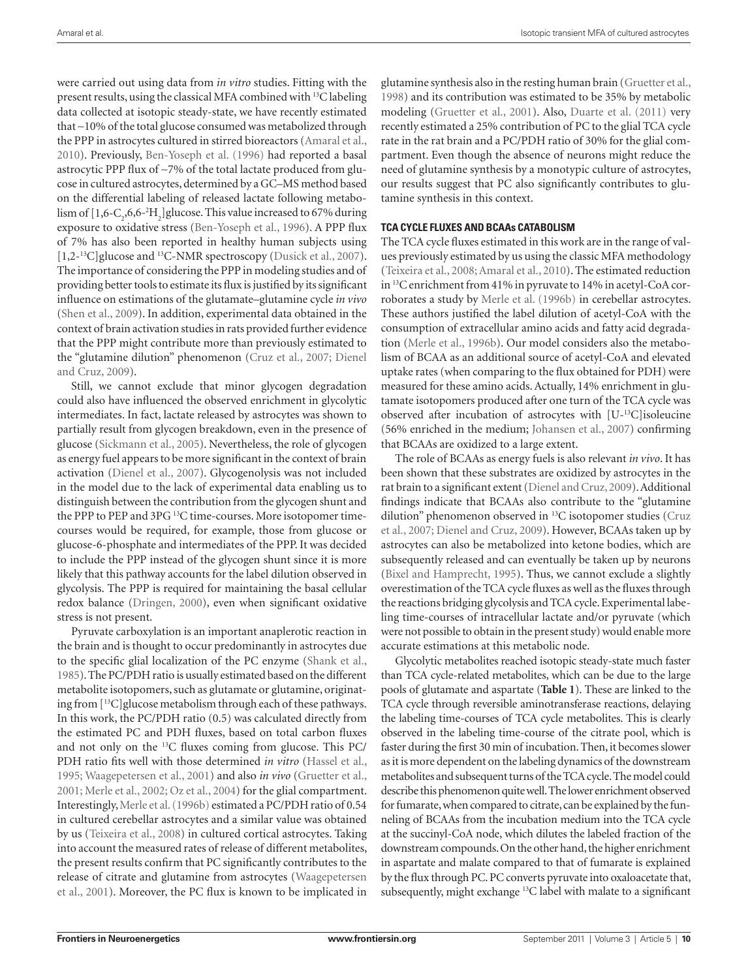were carried out using data from *in vitro* studies. Fitting with the present results, using the classical MFA combined with 13C labeling data collected at isotopic steady-state, we have recently estimated that ∼10% of the total glucose consumed was metabolized through the PPP in astrocytes cultured in stirred bioreactors (Amaral et al., 2010). Previously, Ben-Yoseph et al. (1996) had reported a basal astrocytic PPP flux of ∼7% of the total lactate produced from glucose in cultured astrocytes, determined by a GC–MS method based on the differential labeling of released lactate following metabolism of  $[1,6$ -C<sub>2</sub>,6,6-<sup>2</sup>H<sub>2</sub>]glucose. This value increased to 67% during exposure to oxidative stress (Ben-Yoseph et al., 1996). A PPP flux of 7% has also been reported in healthy human subjects using [1,2-<sup>13</sup>C]glucose and <sup>13</sup>C-NMR spectroscopy (Dusick et al., 2007). The importance of considering the PPP in modeling studies and of providing better tools to estimate its flux is justified by its significant influence on estimations of the glutamate–glutamine cycle *in vivo* (Shen et al., 2009). In addition, experimental data obtained in the context of brain activation studies in rats provided further evidence that the PPP might contribute more than previously estimated to the "glutamine dilution" phenomenon (Cruz et al., 2007; Dienel and Cruz, 2009).

Still, we cannot exclude that minor glycogen degradation could also have influenced the observed enrichment in glycolytic intermediates. In fact, lactate released by astrocytes was shown to partially result from glycogen breakdown, even in the presence of glucose (Sickmann et al., 2005). Nevertheless, the role of glycogen as energy fuel appears to be more significant in the context of brain activation (Dienel et al., 2007). Glycogenolysis was not included in the model due to the lack of experimental data enabling us to distinguish between the contribution from the glycogen shunt and the PPP to PEP and 3PG 13C time-courses. More isotopomer timecourses would be required, for example, those from glucose or glucose-6-phosphate and intermediates of the PPP. It was decided to include the PPP instead of the glycogen shunt since it is more likely that this pathway accounts for the label dilution observed in glycolysis. The PPP is required for maintaining the basal cellular redox balance (Dringen, 2000), even when significant oxidative stress is not present.

Pyruvate carboxylation is an important anaplerotic reaction in the brain and is thought to occur predominantly in astrocytes due to the specific glial localization of the PC enzyme (Shank et al., 1985). The PC/PDH ratio is usually estimated based on the different metabolite isotopomers, such as glutamate or glutamine, originating from [13C]glucose metabolism through each of these pathways. In this work, the PC/PDH ratio (0.5) was calculated directly from the estimated PC and PDH fluxes, based on total carbon fluxes and not only on the 13C fluxes coming from glucose. This PC/ PDH ratio fits well with those determined *in vitro* (Hassel et al., 1995; Waagepetersen et al., 2001) and also *in vivo* (Gruetter et al., 2001; Merle et al., 2002; Oz et al., 2004) for the glial compartment. Interestingly, Merle et al. (1996b) estimated a PC/PDH ratio of 0.54 in cultured cerebellar astrocytes and a similar value was obtained by us (Teixeira et al., 2008) in cultured cortical astrocytes. Taking into account the measured rates of release of different metabolites, the present results confirm that PC significantly contributes to the release of citrate and glutamine from astrocytes (Waagepetersen et al., 2001). Moreover, the PC flux is known to be implicated in

glutamine synthesis also in the resting human brain (Gruetter et al., 1998) and its contribution was estimated to be 35% by metabolic modeling (Gruetter et al., 2001). Also, Duarte et al. (2011) very recently estimated a 25% contribution of PC to the glial TCA cycle rate in the rat brain and a PC/PDH ratio of 30% for the glial compartment. Even though the absence of neurons might reduce the need of glutamine synthesis by a monotypic culture of astrocytes, our results suggest that PC also significantly contributes to glutamine synthesis in this context.

# **TCA cycle Fluxes and BCAAs catabolism**

The TCA cycle fluxes estimated in this work are in the range of values previously estimated by us using the classic MFA methodology (Teixeira et al., 2008; Amaral et al., 2010). The estimated reduction in 13C enrichment from 41% in pyruvate to 14% in acetyl-CoA corroborates a study by Merle et al. (1996b) in cerebellar astrocytes. These authors justified the label dilution of acetyl-CoA with the consumption of extracellular amino acids and fatty acid degradation (Merle et al., 1996b). Our model considers also the metabolism of BCAA as an additional source of acetyl-CoA and elevated uptake rates (when comparing to the flux obtained for PDH) were measured for these amino acids. Actually, 14% enrichment in glutamate isotopomers produced after one turn of the TCA cycle was observed after incubation of astrocytes with [U-13C]isoleucine (56% enriched in the medium; Johansen et al., 2007) confirming that BCAAs are oxidized to a large extent.

The role of BCAAs as energy fuels is also relevant *in vivo*. It has been shown that these substrates are oxidized by astrocytes in the rat brain to a significant extent (Dienel and Cruz, 2009). Additional findings indicate that BCAAs also contribute to the "glutamine dilution" phenomenon observed in 13C isotopomer studies (Cruz et al., 2007; Dienel and Cruz, 2009). However, BCAAs taken up by astrocytes can also be metabolized into ketone bodies, which are subsequently released and can eventually be taken up by neurons (Bixel and Hamprecht, 1995). Thus, we cannot exclude a slightly overestimation of the TCA cycle fluxes as well as the fluxes through the reactions bridging glycolysis and TCA cycle. Experimental labeling time-courses of intracellular lactate and/or pyruvate (which were not possible to obtain in the present study) would enable more accurate estimations at this metabolic node.

Glycolytic metabolites reached isotopic steady-state much faster than TCA cycle-related metabolites, which can be due to the large pools of glutamate and aspartate (**Table 1**). These are linked to the TCA cycle through reversible aminotransferase reactions, delaying the labeling time-courses of TCA cycle metabolites. This is clearly observed in the labeling time-course of the citrate pool, which is faster during the first 30 min of incubation. Then, it becomes slower as it is more dependent on the labeling dynamics of the downstream metabolites and subsequent turns of the TCA cycle. The model could describe this phenomenon quite well. The lower enrichment observed for fumarate, when compared to citrate, can be explained by the funneling of BCAAs from the incubation medium into the TCA cycle at the succinyl-CoA node, which dilutes the labeled fraction of the downstream compounds. On the other hand, the higher enrichment in aspartate and malate compared to that of fumarate is explained by the flux through PC. PC converts pyruvate into oxaloacetate that, subsequently, might exchange 13C label with malate to a significant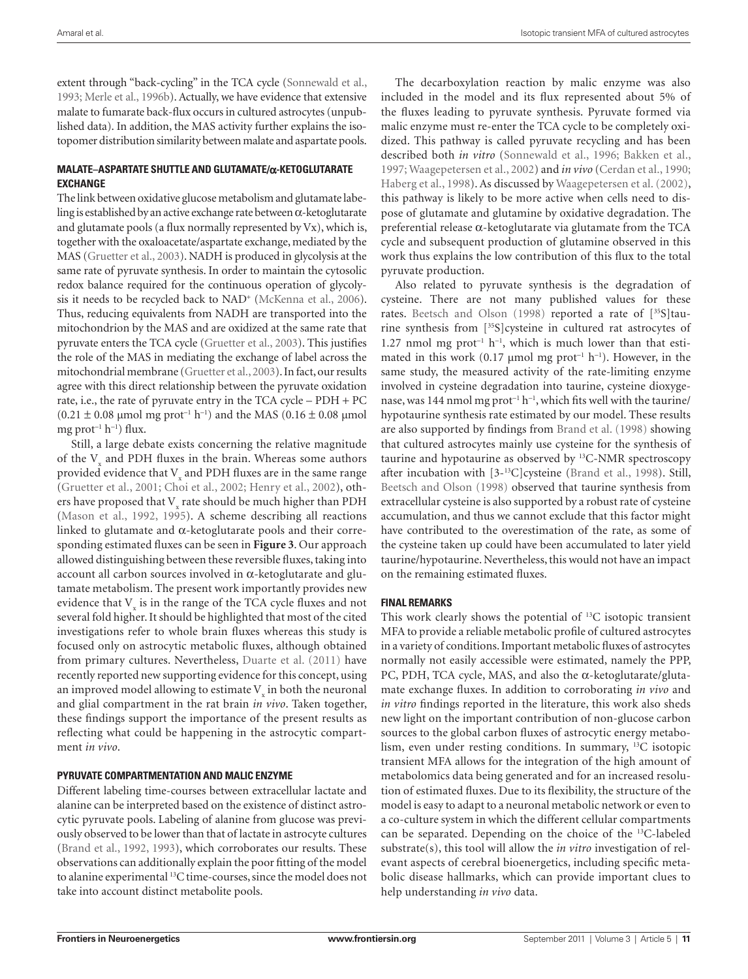extent through "back-cycling" in the TCA cycle (Sonnewald et al., 1993; Merle et al., 1996b). Actually, we have evidence that extensive malate to fumarate back-flux occurs in cultured astrocytes (unpublished data). In addition, the MAS activity further explains the isotopomer distribution similarity between malate and aspartate pools.

# **Malate–Aspartate Shuttle and Glutamate/**α**-Ketoglutarate exchange**

The link between oxidative glucose metabolism and glutamate labeling is established by an active exchange rate between α-ketoglutarate and glutamate pools (a flux normally represented by Vx), which is, together with the oxaloacetate/aspartate exchange, mediated by the MAS (Gruetter et al., 2003). NADH is produced in glycolysis at the same rate of pyruvate synthesis. In order to maintain the cytosolic redox balance required for the continuous operation of glycolysis it needs to be recycled back to NAD<sup>+</sup> (McKenna et al., 2006). Thus, reducing equivalents from NADH are transported into the mitochondrion by the MAS and are oxidized at the same rate that pyruvate enters the TCA cycle (Gruetter et al., 2003). This justifies the role of the MAS in mediating the exchange of label across the mitochondrial membrane (Gruetter et al., 2003). In fact, our results agree with this direct relationship between the pyruvate oxidation rate, i.e., the rate of pyruvate entry in the TCA cycle – PDH + PC  $(0.21 \pm 0.08$  μmol mg prot<sup>-1</sup> h<sup>-1</sup>) and the MAS (0.16 ± 0.08 μmol mg prot<sup>−</sup><sup>1</sup> h<sup>−</sup><sup>1</sup> ) flux.

Still, a large debate exists concerning the relative magnitude of the  $V_{x}$  and PDH fluxes in the brain. Whereas some authors provided evidence that  $\rm V_{x}$  and PDH fluxes are in the same range (Gruetter et al., 2001; Choi et al., 2002; Henry et al., 2002), others have proposed that  $\rm V_{x}$  rate should be much higher than PDH (Mason et al., 1992, 1995). A scheme describing all reactions linked to glutamate and α-ketoglutarate pools and their corresponding estimated fluxes can be seen in **Figure 3**. Our approach allowed distinguishing between these reversible fluxes, taking into account all carbon sources involved in α-ketoglutarate and glutamate metabolism. The present work importantly provides new evidence that  $V_{\rm x}$  is in the range of the TCA cycle fluxes and not several fold higher. It should be highlighted that most of the cited investigations refer to whole brain fluxes whereas this study is focused only on astrocytic metabolic fluxes, although obtained from primary cultures. Nevertheless, Duarte et al. (2011) have recently reported new supporting evidence for this concept, using an improved model allowing to estimate  ${\rm V}_{\rm x}$  in both the neuronal and glial compartment in the rat brain *in vivo*. Taken together, these findings support the importance of the present results as reflecting what could be happening in the astrocytic compartment *in vivo*.

## **Pyruvate compartmentation and malic enzyme**

Different labeling time-courses between extracellular lactate and alanine can be interpreted based on the existence of distinct astrocytic pyruvate pools. Labeling of alanine from glucose was previously observed to be lower than that of lactate in astrocyte cultures (Brand et al., 1992, 1993), which corroborates our results. These observations can additionally explain the poor fitting of the model to alanine experimental 13C time-courses, since the model does not take into account distinct metabolite pools.

The decarboxylation reaction by malic enzyme was also included in the model and its flux represented about 5% of the fluxes leading to pyruvate synthesis. Pyruvate formed via malic enzyme must re-enter the TCA cycle to be completely oxidized. This pathway is called pyruvate recycling and has been described both *in vitro* (Sonnewald et al., 1996; Bakken et al., 1997; Waagepetersen et al., 2002) and *in vivo* (Cerdan et al., 1990; Haberg et al., 1998). As discussed by Waagepetersen et al. (2002), this pathway is likely to be more active when cells need to dispose of glutamate and glutamine by oxidative degradation. The preferential release α-ketoglutarate via glutamate from the TCA cycle and subsequent production of glutamine observed in this work thus explains the low contribution of this flux to the total pyruvate production.

Also related to pyruvate synthesis is the degradation of cysteine. There are not many published values for these rates. Beetsch and Olson (1998) reported a rate of [35S]taurine synthesis from [35S]cysteine in cultured rat astrocytes of 1.27 nmol mg prot<sup>-1</sup> h<sup>-1</sup>, which is much lower than that estimated in this work (0.17 µmol mg prot<sup>-1</sup> h<sup>-1</sup>). However, in the same study, the measured activity of the rate-limiting enzyme involved in cysteine degradation into taurine, cysteine dioxygenase, was 144 nmol mg prot<sup>-1</sup> h<sup>-1</sup>, which fits well with the taurine/ hypotaurine synthesis rate estimated by our model. These results are also supported by findings from Brand et al. (1998) showing that cultured astrocytes mainly use cysteine for the synthesis of taurine and hypotaurine as observed by 13C-NMR spectroscopy after incubation with [3-13C]cysteine (Brand et al., 1998). Still, Beetsch and Olson (1998) observed that taurine synthesis from extracellular cysteine is also supported by a robust rate of cysteine accumulation, and thus we cannot exclude that this factor might have contributed to the overestimation of the rate, as some of the cysteine taken up could have been accumulated to later yield taurine/hypotaurine. Nevertheless, this would not have an impact on the remaining estimated fluxes.

## **Final remarks**

This work clearly shows the potential of 13C isotopic transient MFA to provide a reliable metabolic profile of cultured astrocytes in a variety of conditions. Important metabolic fluxes of astrocytes normally not easily accessible were estimated, namely the PPP, PC, PDH, TCA cycle, MAS, and also the  $\alpha$ -ketoglutarate/glutamate exchange fluxes. In addition to corroborating *in vivo* and *in vitro* findings reported in the literature, this work also sheds new light on the important contribution of non-glucose carbon sources to the global carbon fluxes of astrocytic energy metabolism, even under resting conditions. In summary, 13C isotopic transient MFA allows for the integration of the high amount of metabolomics data being generated and for an increased resolution of estimated fluxes. Due to its flexibility, the structure of the model is easy to adapt to a neuronal metabolic network or even to a co-culture system in which the different cellular compartments can be separated. Depending on the choice of the 13C-labeled substrate(s), this tool will allow the *in vitro* investigation of relevant aspects of cerebral bioenergetics, including specific metabolic disease hallmarks, which can provide important clues to help understanding *in vivo* data.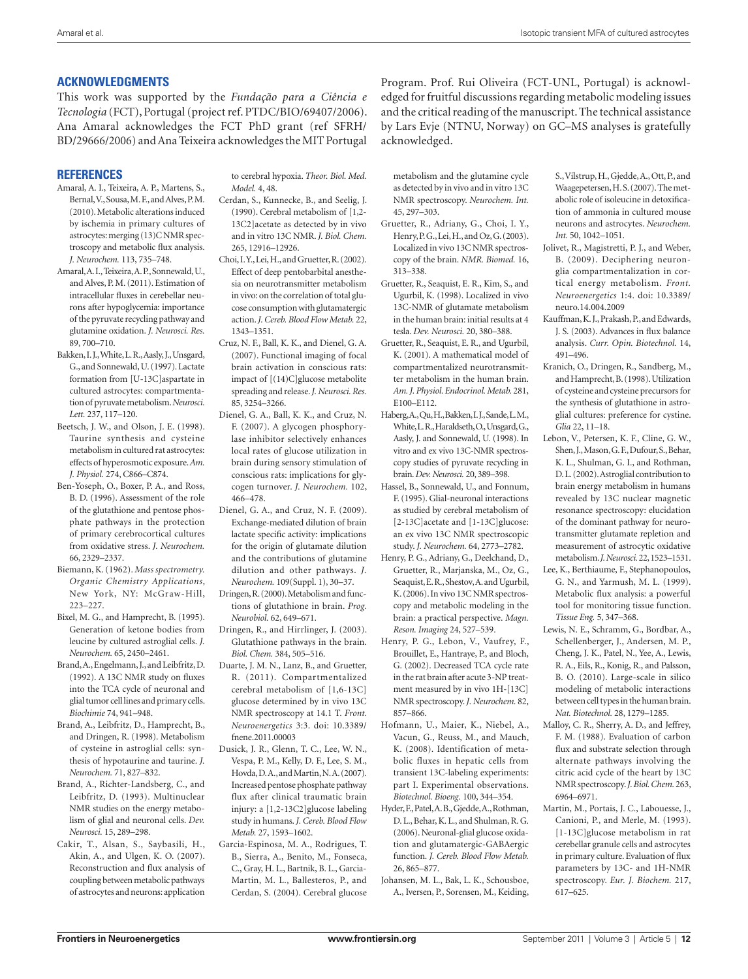# **Acknowledgments**

This work was supported by the *Fundação para a Ciência e Tecnologia* (FCT), Portugal (project ref. PTDC/BIO/69407/2006). Ana Amaral acknowledges the FCT PhD grant (ref SFRH/ BD/29666/2006) and Ana Teixeira acknowledges the MIT Portugal

# **References**

- Amaral, A. I., Teixeira, A. P., Martens, S., Bernal, V., Sousa, M. F., and Alves, P. M. (2010). Metabolic alterations induced by ischemia in primary cultures of astrocytes: merging (13)C NMR spectroscopy and metabolic flux analysis. *J. Neurochem.* 113, 735–748.
- Amaral, A. I., Teixeira, A. P., Sonnewald, U., and Alves, P. M. (2011). Estimation of intracellular fluxes in cerebellar neurons after hypoglycemia: importance of the pyruvate recycling pathway and glutamine oxidation. *J. Neurosci. Res.*  89, 700–710.
- Bakken, I. J., White, L. R., Aasly, J., Unsgard, G., and Sonnewald, U. (1997). Lactate formation from [U-13C]aspartate in cultured astrocytes: compartmentation of pyruvate metabolism. *Neurosci. Lett.* 237, 117–120.
- Beetsch, J. W., and Olson, J. E. (1998). Taurine synthesis and cysteine metabolism in cultured rat astrocytes: effects of hyperosmotic exposure. *Am. J. Physiol.* 274, C866–C874.
- Ben-Yoseph, O., Boxer, P. A., and Ross, B. D. (1996). Assessment of the role of the glutathione and pentose phosphate pathways in the protection of primary cerebrocortical cultures from oxidative stress. *J. Neurochem.*  66, 2329–2337.
- Biemann, K. (1962). *Mass spectrometry. Organic Chemistry Applications*, New York, NY: McGraw-Hill, 223–227.
- Bixel, M. G., and Hamprecht, B. (1995). Generation of ketone bodies from leucine by cultured astroglial cells. *J. Neurochem.* 65, 2450–2461.
- Brand, A., Engelmann, J., and Leibfritz, D. (1992). A 13C NMR study on fluxes into the TCA cycle of neuronal and glial tumor cell lines and primary cells. *Biochimie* 74, 941–948.
- Brand, A., Leibfritz, D., Hamprecht, B., and Dringen, R. (1998). Metabolism of cysteine in astroglial cells: synthesis of hypotaurine and taurine. *J. Neurochem.* 71, 827–832.
- Brand, A., Richter-Landsberg, C., and Leibfritz, D. (1993). Multinuclear NMR studies on the energy metabolism of glial and neuronal cells. *Dev. Neurosci.* 15, 289–298.
- Cakir, T., Alsan, S., Saybasili, H., Akin, A., and Ulgen, K. O. (2007). Reconstruction and flux analysis of coupling between metabolic pathways of astrocytes and neurons: application

to cerebral hypoxia. *Theor. Biol. Med. Model* 4, 48.

- Cerdan, S., Kunnecke, B., and Seelig, J. (1990). Cerebral metabolism of [1,2- 13C2]acetate as detected by in vivo and in vitro 13C NMR. *J. Biol. Chem.*  265, 12916–12926.
- Choi, I. Y., Lei, H., and Gruetter, R. (2002). Effect of deep pentobarbital anesthesia on neurotransmitter metabolism in vivo: on the correlation of total glucose consumption with glutamatergic action. *J. Cereb. Blood Flow Metab.* 22, 1343–1351.
- Cruz, N. F., Ball, K. K., and Dienel, G. A. (2007). Functional imaging of focal brain activation in conscious rats: impact of [(14)C]glucose metabolite spreading and release. *J. Neurosci. Res.*  85, 3254–3266.
- Dienel, G. A., Ball, K. K., and Cruz, N. F. (2007). A glycogen phosphorylase inhibitor selectively enhances local rates of glucose utilization in brain during sensory stimulation of conscious rats: implications for glycogen turnover. *J. Neurochem.* 102, 466–478.
- Dienel, G. A., and Cruz, N. F. (2009). Exchange-mediated dilution of brain lactate specific activity: implications for the origin of glutamate dilution and the contributions of glutamine dilution and other pathways. *J. Neurochem.* 109(Suppl. 1), 30–37.
- Dringen, R. (2000). Metabolism and functions of glutathione in brain. *Prog. Neurobiol.* 62, 649–671.
- Dringen, R., and Hirrlinger, J. (2003). Glutathione pathways in the brain. *Biol. Chem.* 384, 505–516.
- Duarte, J. M. N., Lanz, B., and Gruetter, R. (2011). Compartmentalized cerebral metabolism of [1,6-13C] glucose determined by in vivo 13C NMR spectroscopy at 14.1 T. *Front. Neuroenergetics* 3:3. doi: 10.3389/ fnene.2011.00003
- Dusick, J. R., Glenn, T. C., Lee, W. N., Vespa, P. M., Kelly, D. F., Lee, S. M., Hovda, D. A., and Martin, N. A. (2007). Increased pentose phosphate pathway flux after clinical traumatic brain injury: a [1,2-13C2]glucose labeling study in humans. *J. Cereb. Blood Flow Metab.* 27, 1593–1602.
- Garcia-Espinosa, M. A., Rodrigues, T. B., Sierra, A., Benito, M., Fonseca, C., Gray, H. L., Bartnik, B. L., Garcia-Martin, M. L., Ballesteros, P., and Cerdan, S. (2004). Cerebral glucose

Program. Prof. Rui Oliveira (FCT-UNL, Portugal) is acknowledged for fruitful discussions regarding metabolic modeling issues and the critical reading of the manuscript. The technical assistance by Lars Evje (NTNU, Norway) on GC–MS analyses is gratefully acknowledged.

metabolism and the glutamine cycle as detected by in vivo and in vitro 13C NMR spectroscopy. *Neurochem. Int.*  45, 297–303.

- Gruetter, R., Adriany, G., Choi, I. Y., Henry, P. G., Lei, H., and Oz, G. (2003). Localized in vivo 13C NMR spectroscopy of the brain. *NMR. Biomed.* 16, 313–338.
- Gruetter, R., Seaquist, E. R., Kim, S., and Ugurbil, K. (1998). Localized in vivo 13C-NMR of glutamate metabolism in the human brain: initial results at 4 tesla. *Dev. Neurosci.* 20, 380–388.
- Gruetter, R., Seaquist, E. R., and Ugurbil, K. (2001). A mathematical model of compartmentalized neurotransmitter metabolism in the human brain. *Am. J. Physiol. Endocrinol. Metab.* 281, E100–E112.
- Haberg, A., Qu, H., Bakken, I. J., Sande, L. M., White, L. R., Haraldseth, O., Unsgard, G., Aasly, J. and Sonnewald, U. (1998). In vitro and ex vivo 13C-NMR spectroscopy studies of pyruvate recycling in brain. *Dev. Neurosci.* 20, 389–398.
- Hassel, B., Sonnewald, U., and Fonnum, F. (1995). Glial-neuronal interactions as studied by cerebral metabolism of [2-13C]acetate and [1-13C]glucose: an ex vivo 13C NMR spectroscopic study. *J. Neurochem.* 64, 2773–2782.
- Henry, P. G., Adriany, G., Deelchand, D., Gruetter, R., Marjanska, M., Oz, G., Seaquist, E. R., Shestov, A. and Ugurbil, K. (2006). In vivo 13C NMR spectroscopy and metabolic modeling in the brain: a practical perspective. *Magn. Reson. Imaging* 24, 527–539.
- Henry, P. G., Lebon, V., Vaufrey, F., Brouillet, E., Hantraye, P., and Bloch, G. (2002). Decreased TCA cycle rate in the rat brain after acute 3-NP treatment measured by in vivo 1H-[13C] NMR spectroscopy. *J. Neurochem.* 82, 857–866.
- Hofmann, U., Maier, K., Niebel, A., Vacun, G., Reuss, M., and Mauch, K. (2008). Identification of metabolic fluxes in hepatic cells from transient 13C-labeling experiments: part I. Experimental observations. *Biotechnol. Bioeng.* 100, 344–354.
- Hyder, F., Patel, A. B., Gjedde, A., Rothman, D. L., Behar, K. L., and Shulman, R. G. (2006). Neuronal-glial glucose oxidation and glutamatergic-GABAergic function. *J. Cereb. Blood Flow Metab.*  26, 865–877.
- Johansen, M. L., Bak, L. K., Schousboe, A., Iversen, P., Sorensen, M., Keiding,

S., Vilstrup, H., Gjedde, A., Ott, P., and Waagepetersen, H. S. (2007). The metabolic role of isoleucine in detoxification of ammonia in cultured mouse neurons and astrocytes. *Neurochem. Int.* 50, 1042–1051.

- Jolivet, R., Magistretti, P. J., and Weber, B. (2009). Deciphering neuronglia compartmentalization in cortical energy metabolism. *Front. Neuroenergetics* 1:4. doi: 10.3389/ neuro.14.004.2009
- Kauffman, K. J., Prakash, P., and Edwards, J. S. (2003). Advances in flux balance analysis. *Curr. Opin. Biotechnol.* 14, 491–496.
- Kranich, O., Dringen, R., Sandberg, M., and Hamprecht, B. (1998). Utilization of cysteine and cysteine precursors for the synthesis of glutathione in astroglial cultures: preference for cystine. *Glia* 22, 11–18.
- Lebon, V., Petersen, K. F., Cline, G. W., Shen, J., Mason, G. F., Dufour, S., Behar, K. L., Shulman, G. I., and Rothman, D. L. (2002). Astroglial contribution to brain energy metabolism in humans revealed by 13C nuclear magnetic resonance spectroscopy: elucidation of the dominant pathway for neurotransmitter glutamate repletion and measurement of astrocytic oxidative metabolism. *J. Neurosci.* 22, 1523–1531.
- Lee, K., Berthiaume, F., Stephanopoulos, G. N., and Yarmush, M. L. (1999). Metabolic flux analysis: a powerful tool for monitoring tissue function. *Tissue Eng.* 5, 347–368.
- Lewis, N. E., Schramm, G., Bordbar, A., Schellenberger, J., Andersen, M. P., Cheng, J. K., Patel, N., Yee, A., Lewis, R. A., Eils, R., Konig, R., and Palsson, B. O. (2010). Large-scale in silico modeling of metabolic interactions between cell types in the human brain. *Nat. Biotechnol.* 28, 1279–1285.
- Malloy, C. R., Sherry, A. D., and Jeffrey, F. M. (1988). Evaluation of carbon flux and substrate selection through alternate pathways involving the citric acid cycle of the heart by 13C NMR spectroscopy. *J. Biol. Chem.* 263, 6964–6971.
- Martin, M., Portais, J. C., Labouesse, J., Canioni, P., and Merle, M. (1993). [1-13C]glucose metabolism in rat cerebellar granule cells and astrocytes in primary culture. Evaluation of flux parameters by 13C- and 1H-NMR spectroscopy. *Eur. J. Biochem.* 217, 617–625.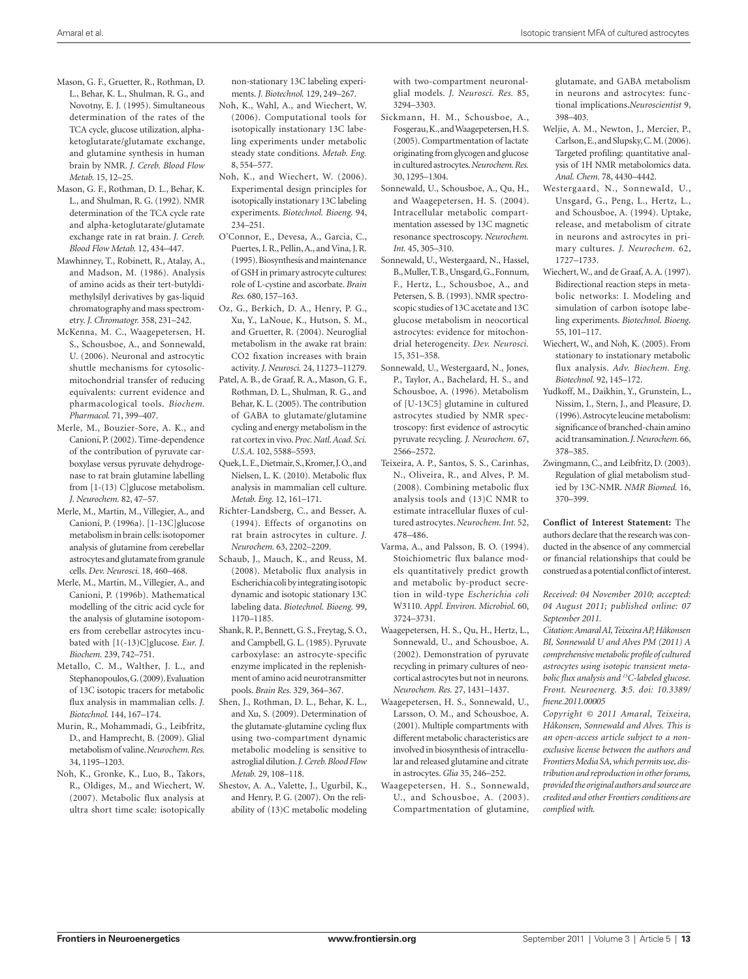- Mason, G. F., Gruetter, R., Rothman, D. L., Behar, K. L., Shulman, R. G., and Novotny, E. J. (1995). Simultaneous determination of the rates of the TCA cycle, glucose utilization, alphaketoglutarate/glutamate exchange, and glutamine synthesis in human brain by NMR. *J. Cereb. Blood Flow Metab.* 15, 12–25.
- Mason, G. F., Rothman, D. L., Behar, K. L., and Shulman, R. G. (1992). NMR determination of the TCA cycle rate and alpha-ketoglutarate/glutamate exchange rate in rat brain. *J. Cereb. Blood Flow Metab.* 12, 434–447.
- Mawhinney, T., Robinett, R., Atalay, A., and Madson, M. (1986). Analysis of amino acids as their tert-butyldimethylsilyl derivatives by gas-liquid chromatography and mass spectrometry. *J. Chromatogr.* 358, 231–242.
- McKenna, M. C., Waagepetersen, H. S., Schousboe, A., and Sonnewald, U. (2006). Neuronal and astrocytic shuttle mechanisms for cytosolicmitochondrial transfer of reducing equivalents: current evidence and pharmacological tools. *Biochem. Pharmacol.* 71, 399–407.
- Merle, M., Bouzier-Sore, A. K., and Canioni, P. (2002). Time-dependence of the contribution of pyruvate carboxylase versus pyruvate dehydrogenase to rat brain glutamine labelling from [1-(13) C]glucose metabolism. *J. Neurochem.* 82, 47–57.
- Merle, M., Martin, M., Villegier, A., and Canioni, P. (1996a). [1-13C]glucose metabolism in brain cells: isotopomer analysis of glutamine from cerebellar astrocytes and glutamate from granule cells. *Dev. Neurosci.* 18, 460–468.
- Merle, M., Martin, M., Villegier, A., and Canioni, P. (1996b). Mathematical modelling of the citric acid cycle for the analysis of glutamine isotopomers from cerebellar astrocytes incubated with [1(-13)C]glucose. *Eur. J. Biochem.* 239, 742–751.
- Metallo, C. M., Walther, J. L., and Stephanopoulos, G. (2009). Evaluation of 13C isotopic tracers for metabolic flux analysis in mammalian cells. *J. Biotechnol.* 144, 167–174.
- Murin, R., Mohammadi, G., Leibfritz, D., and Hamprecht, B. (2009). Glial metabolism of valine. *Neurochem. Res.*  34, 1195–1203.
- Noh, K., Gronke, K., Luo, B., Takors, R., Oldiges, M., and Wiechert, W. (2007). Metabolic flux analysis at ultra short time scale: isotopically

non-stationary 13C labeling experiments. *J. Biotechnol.* 129, 249–267.

- Noh, K., Wahl, A., and Wiechert, W. (2006). Computational tools for isotopically instationary 13C labeling experiments under metabolic steady state conditions. *Metab. Eng.*  8, 554–577.
- Noh, K., and Wiechert, W. (2006). Experimental design principles for isotopically instationary 13C labeling experiments. *Biotechnol. Bioeng.* 94, 234–251.
- O'Connor, E., Devesa, A., Garcia, C., Puertes, I. R., Pellin, A., and Vina, J. R. (1995). Biosynthesis and maintenance of GSH in primary astrocyte cultures: role of L-cystine and ascorbate. *Brain Res.* 680, 157–163.
- Oz, G., Berkich, D. A., Henry, P. G., Xu, Y., LaNoue, K., Hutson, S. M., and Gruetter, R. (2004). Neuroglial metabolism in the awake rat brain: CO2 fixation increases with brain activity. *J. Neurosci.* 24, 11273–11279.
- Patel, A. B., de Graaf, R. A., Mason, G. F., Rothman, D. L., Shulman, R. G., and Behar, K. L. (2005). The contribution of GABA to glutamate/glutamine cycling and energy metabolism in the rat cortex in vivo. *Proc. Natl. Acad. Sci. U.S.A.* 102, 5588–5593.
- Quek, L. E., Dietmair, S., Kromer, J. O., and Nielsen, L. K. (2010). Metabolic flux analysis in mammalian cell culture. *Metab. Eng.* 12, 161–171.
- Richter-Landsberg, C., and Besser, A. (1994). Effects of organotins on rat brain astrocytes in culture. *J. Neurochem.* 63, 2202–2209.
- Schaub, J., Mauch, K., and Reuss, M. (2008). Metabolic flux analysis in Escherichia coli by integrating isotopic dynamic and isotopic stationary 13C labeling data. *Biotechnol. Bioeng.* 99, 1170–1185.
- Shank, R. P., Bennett, G. S., Freytag, S. O., and Campbell, G. L. (1985). Pyruvate carboxylase: an astrocyte-specific enzyme implicated in the replenishment of amino acid neurotransmitter pools. *Brain Res.* 329, 364–367.
- Shen, J., Rothman, D. L., Behar, K. L., and Xu, S. (2009). Determination of the glutamate-glutamine cycling flux using two-compartment dynamic metabolic modeling is sensitive to astroglial dilution. *J. Cereb. Blood Flow Metab.* 29, 108–118.
- Shestov, A. A., Valette, J., Ugurbil, K., and Henry, P. G. (2007). On the reliability of (13)C metabolic modeling

with two-compartment neuronalglial models. *J. Neurosci. Res.* 85, 3294–3303.

- Sickmann, H. M., Schousboe, A., Fosgerau, K., and Waagepetersen, H. S. (2005). Compartmentation of lactate originating from glycogen and glucose in cultured astrocytes. *Neurochem. Res.*  30, 1295–1304.
- Sonnewald, U., Schousboe, A., Qu, H., and Waagepetersen, H. S. (2004). Intracellular metabolic compartmentation assessed by 13C magnetic resonance spectroscopy. *Neurochem. Int.* 45, 305–310.
- Sonnewald, U., Westergaard, N., Hassel, B., Muller, T. B., Unsgard, G., Fonnum, F., Hertz, L., Schousboe, A., and Petersen, S. B. (1993). NMR spectroscopic studies of 13C acetate and 13C glucose metabolism in neocortical astrocytes: evidence for mitochondrial heterogeneity. *Dev. Neurosci.*  15, 351–358.
- Sonnewald, U., Westergaard, N., Jones, P., Taylor, A., Bachelard, H. S., and Schousboe, A. (1996). Metabolism of [U-13C5] glutamine in cultured astrocytes studied by NMR spectroscopy: first evidence of astrocytic pyruvate recycling. *J. Neurochem.* 67, 2566–2572.
- Teixeira, A. P., Santos, S. S., Carinhas, N., Oliveira, R., and Alves, P. M. (2008). Combining metabolic flux analysis tools and (13)C NMR to estimate intracellular fluxes of cultured astrocytes. *Neurochem. Int.* 52, 478–486.
- Varma, A., and Palsson, B. O. (1994). Stoichiometric flux balance models quantitatively predict growth and metabolic by-product secretion in wild-type *Escherichia coli* W3110. *Appl. Environ. Microbiol.* 60, 3724–3731.
- Waagepetersen, H. S., Qu, H., Hertz, L., Sonnewald, U., and Schousboe, A. (2002). Demonstration of pyruvate recycling in primary cultures of neocortical astrocytes but not in neurons. *Neurochem. Res.* 27, 1431–1437.
- Waagepetersen, H. S., Sonnewald, U., Larsson, O. M., and Schousboe, A. (2001). Multiple compartments with different metabolic characteristics are involved in biosynthesis of intracellular and released glutamine and citrate in astrocytes. *Glia* 35, 246–252.
- Waagepetersen, H. S., Sonnewald, U., and Schousboe, A. (2003). Compartmentation of glutamine,

glutamate, and GABA metabolism in neurons and astrocytes: functional implications.*Neuroscientist* 9, 398–403.

- Weljie, A. M., Newton, J., Mercier, P., Carlson, E., and Slupsky, C. M. (2006). Targeted profiling: quantitative analysis of 1H NMR metabolomics data. *Anal. Chem.* 78, 4430–4442.
- Westergaard, N., Sonnewald, U., Unsgard, G., Peng, L., Hertz, L., and Schousboe, A. (1994). Uptake, release, and metabolism of citrate in neurons and astrocytes in primary cultures. *J. Neurochem.* 62, 1727–1733.
- Wiechert, W., and de Graaf, A. A. (1997). Bidirectional reaction steps in metabolic networks: I. Modeling and simulation of carbon isotope labeling experiments. *Biotechnol. Bioeng.*  55, 101–117.
- Wiechert, W., and Noh, K. (2005). From stationary to instationary metabolic flux analysis. *Adv. Biochem. Eng. Biotechnol.* 92, 145–172.
- Yudkoff, M., Daikhin, Y., Grunstein, L., Nissim, I., Stern, J., and Pleasure, D. (1996). Astrocyte leucine metabolism: significance of branched-chain amino acid transamination. *J. Neurochem.* 66, 378–385.
- Zwingmann, C., and Leibfritz, D. (2003). Regulation of glial metabolism studied by 13C-NMR. *NMR Biomed.* 16, 370–399.

**Conflict of Interest Statement:** The authors declare that the research was conducted in the absence of any commercial or financial relationships that could be construed as a potential conflict of interest.

*Received: 04 November 2010; accepted: 04 August 2011; published online: 07 September 2011.*

*Citation: Amaral AI, Teixeira AP, Håkonsen BI, Sonnewald U and Alves PM (2011) A comprehensive metabolic profile of cultured astrocytes using isotopic transient metabolic flux analysis and 13C-labeled glucose. Front. Neuroenerg. 3:5. doi: 10.3389/ fnene.2011.00005*

*Copyright © 2011 Amaral, Teixeira, Håkonsen, Sonnewald and Alves. This is an open-access article subject to a nonexclusive license between the authors and Frontiers Media SA, which permits use, distribution and reproduction in other forums, provided the original authors and source are credited and other Frontiers conditions are complied with.*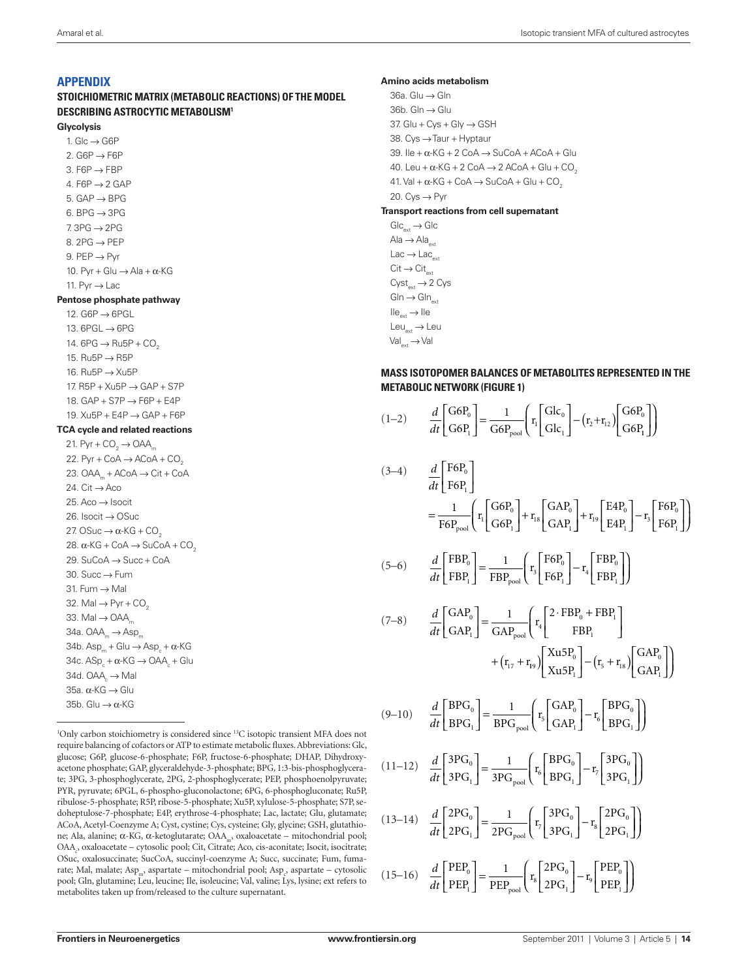# **Appendix**

**Stoichiometric matrix (metabolic reactions) of the model describing astrocytic metabolism1**

#### **Glycolysis**

1. Glc  $\rightarrow$  G6P 2. G6P  $\rightarrow$  F6P 3.  $F6P \rightarrow FBP$ 4. F6P  $\rightarrow$  2 GAP 5.  $GAP \rightarrow BPG$ 6. BPG  $\rightarrow$  3PG  $7.3PG \rightarrow 2PG$ 8. 2PG  $\rightarrow$  PEP 9.  $PEP \rightarrow Pyr$ 10. Pyr + Glu  $\rightarrow$  Ala +  $\alpha$ -KG 11. Pyr  $\rightarrow$  Lac **Pentose phosphate pathway**

12.  $G6P \rightarrow 6PGL$ 13. 6PGL → 6PG 14. 6PG  $\rightarrow$  Ru5P + CO<sub>2</sub> 15. Ru5P → R5P 16. Ru5P → Xu5P 17. R5P + Xu5P → GAP + S7P 18.  $GAP + STP \rightarrow F6P + E4P$ 19. Xu5P + E4P → GAP + F6P

## **TCA cycle and related reactions**

21. Pyr +  $CO<sub>2</sub> \rightarrow OAA<sub>m</sub>$ 22. Pyr + CoA  $\rightarrow$  ACoA + CO<sub>2</sub> 23. OAA  $+ACoA \rightarrow Ci$ t + CoA 24.  $Cit \rightarrow Aco$ 25. Aco → Isocit 26. Isocit → OSuc 27. OSuc  $\rightarrow \alpha$ -KG + CO<sub>2</sub> 28.  $\alpha$ -KG + CoA  $\rightarrow$  SuCoA + CO<sub>2</sub> 29. SuCoA → Succ + CoA 30. Succ  $\rightarrow$  Fum 31. Fum  $\rightarrow$  Mal 32. Mal  $\rightarrow$  Pyr + CO<sub>2</sub> 33. Mal  $\rightarrow$  OAA 34a.  $OAA_m \rightarrow Asp_m$  $34b. Asp_{n} + Glu \rightarrow Asp_{n} + \alpha KG$ 34c.  $ASp^* + \alpha$ -KG  $\rightarrow$  OAA<sub>c</sub> + Glu 34d.  $OAA \rightarrow Mal$ 35a. α-KG → Glu 35b. Glu  $\rightarrow \alpha$ -KG

<sup>1</sup>Only carbon stoichiometry is considered since <sup>13</sup>C isotopic transient MFA does not require balancing of cofactors or ATP to estimate metabolic fluxes. Abbreviations: Glc, glucose; G6P, glucose-6-phosphate; F6P, fructose-6-phosphate; DHAP, Dihydroxyacetone phosphate; GAP, glyceraldehyde-3-phosphate; BPG, 1:3-bis-phosphoglycerate; 3PG, 3-phosphoglycerate, 2PG, 2-phosphoglycerate; PEP, phosphoenolpyruvate; PYR, pyruvate; 6PGL, 6-phospho-gluconolactone; 6PG, 6-phosphogluconate; Ru5P, ribulose-5-phosphate; R5P, ribose-5-phosphate; Xu5P, xylulose-5-phosphate; S7P, sedoheptulose-7-phosphate; E4P, erythrose-4-phosphate; Lac, lactate; Glu, glutamate; ACoA, Acetyl-Coenzyme A; Cyst, cystine; Cys, cysteine; Gly, glycine; GSH, glutathione; Ala, alanine; α-KG, α-ketoglutarate; OAA<sub>m</sub>, oxaloacetate – mitochondrial pool; OAA<sub>c</sub>, oxaloacetate – cytosolic pool; Cit, Citrate; Aco, cis-aconitate; Isocit, isocitrate; OSuc, oxalosuccinate; SucCoA, succinyl-coenzyme A; Succ, succinate; Fum, fumarate; Mal, malate; Asp<sub>m</sub>, aspartate – mitochondrial pool; Asp<sub>e</sub>, aspartate – cytosolic pool; Gln, glutamine; Leu, leucine; Ile, isoleucine; Val, valine; Lys, lysine; ext refers to metabolites taken up from/released to the culture supernatant.

#### **Amino acids metabolism**

36a. Glu → Gln 36b. Gln  $\rightarrow$  Glu 37. Glu +  $Cvs + Glv \rightarrow GSH$ 38. Cys →Taur + Hyptaur 39. Ile +  $\alpha$ -KG + 2 CoA  $\rightarrow$  SuCoA + ACoA + Glu 40. Leu +  $\alpha$ -KG + 2 CoA  $\rightarrow$  2 ACoA + Glu + CO<sub>2</sub>  $41.$  Val +  $\alpha$ -KG + CoA  $\rightarrow$  SuCoA + Glu + CO<sub>2</sub> 20.  $Cvs \rightarrow Pvr$ **Transport reactions from cell supernatant**

 $Glc_{\dots} \to Glc$ Ala  $\rightarrow$  Ala $_{\text{out}}$  $Lac \rightarrow Lac$  $\text{Cit} \rightarrow \text{Cit}_{\text{ext}}$  $Cyst_{\text{out}} \rightarrow 2 \text{ Cys}$  $G\ln \rightarrow G\ln_{\text{ext}}$  $I$ lle $_{\text{ext}} \rightarrow$ Ile  $Leu_{\text{out}} \rightarrow Leu$  $Val_{ext} \rightarrow Val$ 

# **Mass isotopomer balances of metabolites represented in the metabolic network (Figure 1)**

$$
(1-2) \qquad \frac{d}{dt} \begin{bmatrix} G6P_0 \\ G6P_1 \end{bmatrix} = \frac{1}{G6P_{\text{pool}}} \left( r_1 \begin{bmatrix} Glc_0 \\ Glc_1 \end{bmatrix} - (r_2 + r_{12}) \begin{bmatrix} G6P_0 \\ G6P_1 \end{bmatrix} \right)
$$

$$
(3-4) \frac{d}{dt} \begin{bmatrix} F6P_0 \\ F6P_1 \end{bmatrix}
$$
  
=  $\frac{1}{F6P_{\text{pool}}}\left(r_1 \begin{bmatrix} G6P_0 \\ G6P_1 \end{bmatrix} + r_{1s} \begin{bmatrix} GAP_0 \\ GAP_1 \end{bmatrix} + r_{19} \begin{bmatrix} E4P_0 \\ E4P_1 \end{bmatrix} - r_3 \begin{bmatrix} F6P_0 \\ F6P_1 \end{bmatrix} \right)$ 

$$
(5-6) \qquad \frac{d}{dt} \begin{bmatrix} FBP_0 \\ FBP_1 \end{bmatrix} = \frac{1}{FBP_{pool}} \begin{bmatrix} r_3 \begin{bmatrix} F6P_0 \\ F6P_1 \end{bmatrix} - r_4 \begin{bmatrix} FBP_0 \\ FBP_1 \end{bmatrix} \end{bmatrix}
$$

$$
(7-8) \frac{d}{dt} \begin{bmatrix} \text{GAP}_0 \\ \text{GAP}_1 \end{bmatrix} = \frac{1}{\text{GAP}_{\text{pool}}} \begin{bmatrix} \mathbf{r}_4 \begin{bmatrix} 2 \cdot \text{FBP}_0 + \text{FBP}_1 \\ \text{FBP}_1 \end{bmatrix} \\ + (\mathbf{r}_{17} + \mathbf{r}_{19}) \begin{bmatrix} \text{Xu5P}_0 \\ \text{Xu5P}_1 \end{bmatrix} - (\mathbf{r}_5 + \mathbf{r}_{18}) \begin{bmatrix} \text{GAP}_0 \\ \text{GAP}_1 \end{bmatrix} \end{bmatrix}
$$

$$
(9-10) \qquad \frac{d}{dt} \begin{bmatrix} BPG_0 \ BPG_1 \end{bmatrix} = \frac{1}{BPG_{pool}} \begin{bmatrix} r_5 \begin{bmatrix} GAP_0 \ GAP_1 \end{bmatrix} - r_6 \begin{bmatrix} BPG_0 \ BPG_1 \end{bmatrix} \end{bmatrix}
$$

$$
(11-12) \frac{d}{dt} \begin{bmatrix} 3PG_0 \\ 3PG_1 \end{bmatrix} = \frac{1}{3PG_{pool}} \left( r_6 \begin{bmatrix} BPG_0 \\ BPG_1 \end{bmatrix} - r_7 \begin{bmatrix} 3PG_0 \\ 3PG_1 \end{bmatrix} \right)
$$

$$
(13-14) \quad \frac{d}{dt} \begin{bmatrix} 2PG_0 \\ 2PG_1 \end{bmatrix} = \frac{1}{2PG_{pool}} \left( r_7 \begin{bmatrix} 3PG_0 \\ 3PG_1 \end{bmatrix} - r_8 \begin{bmatrix} 2PG_0 \\ 2PG_1 \end{bmatrix} \right)
$$

 $(15-16)$   $\frac{d}{1}$ *dt*  $\begin{bmatrix} PEP_0 \\ PEP_1 \end{bmatrix} = \frac{1}{PEP_{\text{pool}}} \begin{bmatrix} r_8 / 2PG_0 \\ 2PG_1 / 2PG_1 \end{bmatrix} - r_9 \begin{bmatrix} PEP_1 \\ PEP_2 \end{bmatrix}$ 0 1 pool  $\mathbf 0$ 1 0 1 I  $\begin{bmatrix} \text{PEP}_0 \\ \text{PEP}_1 \end{bmatrix} = \frac{1}{\text{PEP}_{\text{pool}}} \begin{bmatrix} r_s \end{bmatrix} \frac{2PG_0}{2PG_1} - r_s \begin{bmatrix} \text{PEP}_0 \\ \text{PEP}_1 \end{bmatrix}$ 1 8 9 ſ l ľ  $\overline{\phantom{a}}$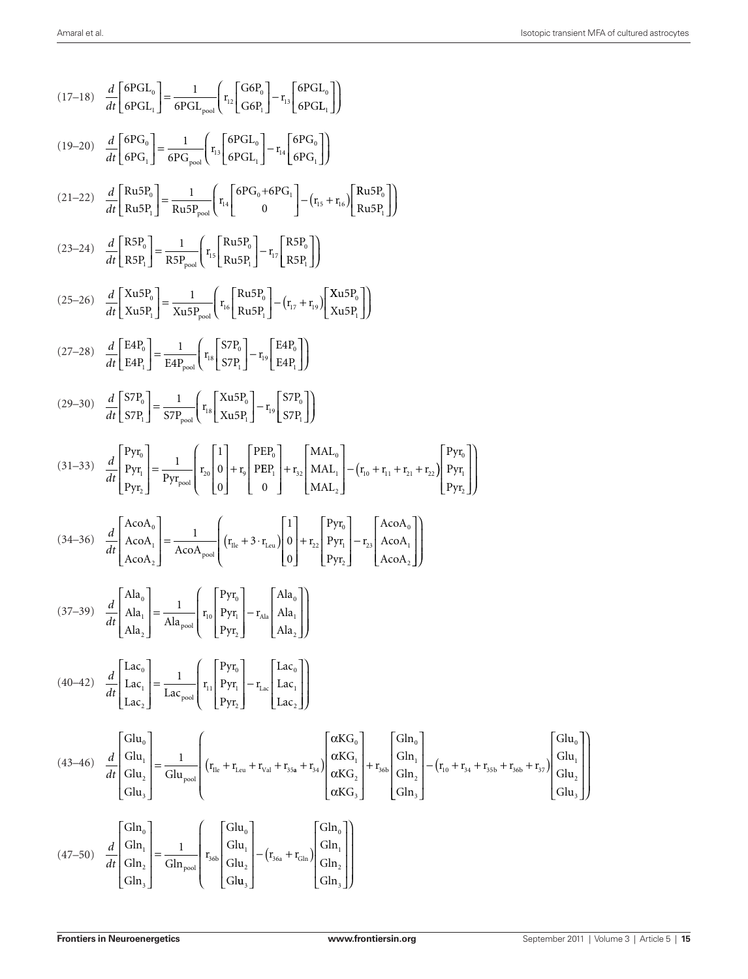$$
(17-18) \frac{d}{dt} \left[ 6PGL_{\eta} \right] = \frac{1}{6PGL_{\text{post}}}\left[ r_{12} \left[ \frac{GGB_{\eta}}{GPB_{\eta}} \right] - r_{11} \left[ 6PGL_{\eta} \right] \right]
$$
\n
$$
(19-20) \frac{d}{dt} \left[ 6PG_{\eta} \right] = \frac{1}{6PGL_{\text{post}}} \left( r_{11} \left[ 6PGL_{\eta} \right] - r_{11} \left[ 6PG_{\eta} \right] \right)
$$
\n
$$
(21-22) \frac{d}{dt} \left[ Ru5P_{\eta} \right] = \frac{1}{6PGL_{\text{post}}} \left( r_{11} \left[ 6PGL_{\eta} \right] - r_{12} \left[ 6PG_{\eta} \right] \right)
$$
\n
$$
(21-22) \frac{d}{dt} \left[ Ru5P_{\eta} \right] = \frac{1}{Ru5P_{\text{post}}} \left( r_{11} \left[ 6PG_{\eta} \right] - r_{12} \left[ RsP_{\eta} \right] \right)
$$
\n
$$
(23-24) \frac{d}{dt} \left[ RsP_{\eta} \right] = \frac{1}{Ru5P_{\text{post}}} \left( r_{12} \left[ Ru5P_{\eta} \right] - r_{12} \left[ RsP_{\eta} \right] \right)
$$
\n
$$
(25-26) \frac{d}{dt} \left[ 8ArB_{\eta} \right] = \frac{1}{2u5P_{\text{post}}} \left( r_{12} \left[ Ru5P_{\eta} \right] - r_{13} \left[ 2RsP_{\eta} \right] \right)
$$
\n
$$
(27-28) \frac{d}{dt} \left[ 8Pr_{\eta} \right] = \frac{1}{5TP_{\text{post}}} \left[ r_{11} \left[ \frac{SVP_{\eta}}{Rv5P_{\eta}} \right] - r_{13} \left[ 5Pr_{\eta} \right] \right)
$$
\n
$$
(29-30) \frac{d}{dt} \left[ 5Pr_{\eta} \right] = \frac{1}{5TP_{\text{post}}} \left[ r_{13} \left[ \frac{SVP_{\eta}}{Rv5P_{\eta}} \right] - r_{
$$

 $\frac{1}{2}$ 

IJ

J J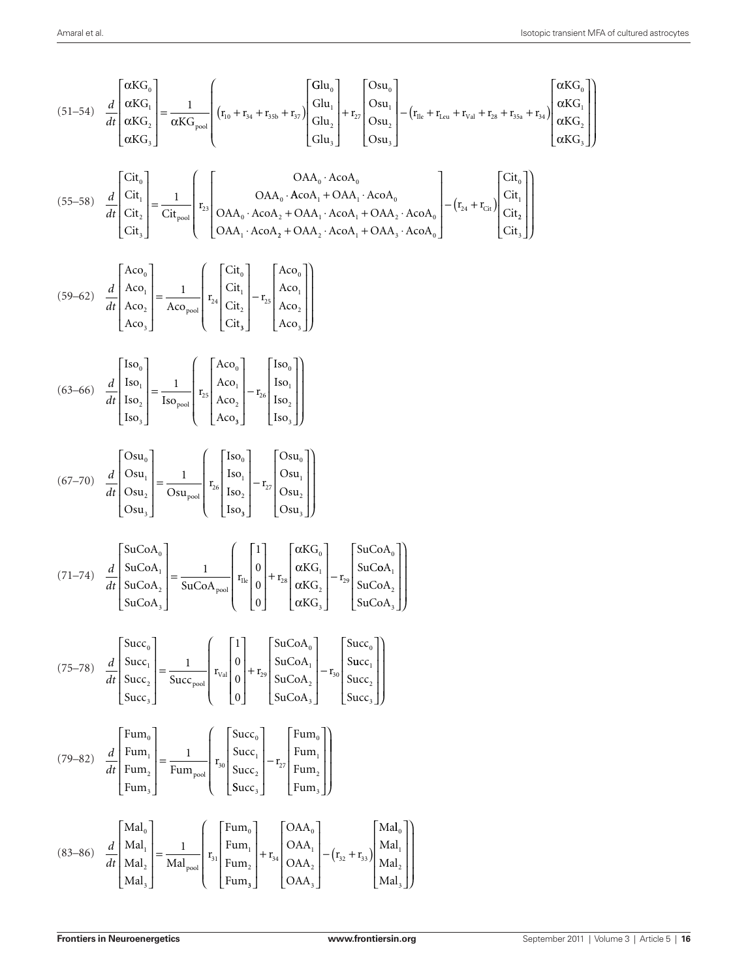$$
(51-54) \frac{d}{dt} \begin{bmatrix} \frac{\alpha KG_{e}}{\alpha KG_{e}} \\ \frac{\alpha KG_{e}}{\alpha KG_{e}} \end{bmatrix} = \frac{1}{\alpha KG_{res}} \begin{bmatrix} \frac{\alpha KG_{e}}{\alpha KG_{res}} \\ \frac{\alpha KG_{re}}{\alpha KG_{per}} \end{bmatrix} \begin{bmatrix} G_{111} \\ G_{212} \\ G_{313} \\ G_{411} \end{bmatrix} - \begin{bmatrix} G_{121} \\ G_{131} \\ G_{141} \end{bmatrix} - \begin{bmatrix} G_{121} \\ G_{131} \\ G_{141} \end{bmatrix} \begin{bmatrix} G_{131} \\ G_{141} \\ G_{141} \end{bmatrix} \begin{bmatrix} G_{11} \\ G_{11} \\ G_{11} \end{bmatrix} = \frac{1}{\alpha KG_{re1}} \begin{bmatrix} G_{11} \\ G_{11} \\ G_{11} \\ G_{11} \end{bmatrix} + \begin{bmatrix} 0 & 0A_{e_0} \cdot AcoA_{e_1} \\ OAA_{e_1} \cdot AcoA_{e_1} + OAA_{e_1} \cdot AcoA_{e_1} \\ OAA_{e_1} \cdot AcoA_{e_1} + OAA_{e_1} \cdot AcoA_{e_1} \\ OAA_{e_1} \cdot AcoA_{e_1} + OAA_{e_1} \cdot AcoA_{e_1} \end{bmatrix} \begin{bmatrix} G_{11} \\ G_{11} \\ G_{11} \end{bmatrix}
$$
  
\n
$$
(63-60) \frac{d}{dt} \begin{bmatrix} Aco_0 \\ Aco_1 \\ Aco_2 \end{bmatrix} = \frac{1}{\alpha L_{ce}} \begin{bmatrix} G_{11} \\ G_{11} \\ G_{11} \end{bmatrix} + \begin{bmatrix} Aco_0 \\ G_{11} \\ G_{11} \end{bmatrix} - \begin{bmatrix} Aco_0 \\ G_{11} \\ G_{11} \end{bmatrix} - \begin{bmatrix} 1 & 0 & 0 & 0 \\ 0 & 0 & 0 \\ 0 & 0 & 0 \\ 0 & 0 & 0 \end{bmatrix} + \begin{bmatrix} G_{11} \\ G_{11} \\ G_{11} \end{bmatrix} + \begin{bmatrix} 1 & 0 & 0 & 0 \\ 0 & 0 & 0
$$